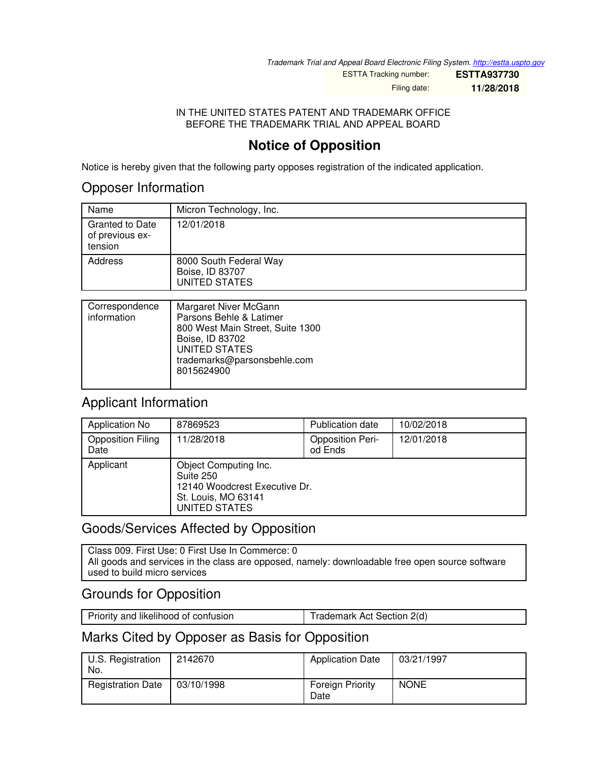*Trademark Trial and Appeal Board Electronic Filing System. <http://estta.uspto.gov>*

ESTTA Tracking number: **ESTTA937730** Filing date: **11/28/2018**

 $\overline{\phantom{a}}$ 

IN THE UNITED STATES PATENT AND TRADEMARK OFFICE BEFORE THE TRADEMARK TRIAL AND APPEAL BOARD

# **Notice of Opposition**

Notice is hereby given that the following party opposes registration of the indicated application.

## Opposer Information

| Name                                                 | Micron Technology, Inc.                                    |
|------------------------------------------------------|------------------------------------------------------------|
| <b>Granted to Date</b><br>of previous ex-<br>tension | 12/01/2018                                                 |
| Address                                              | 8000 South Federal Way<br>Boise, ID 83707<br>UNITED STATES |

| Correspondence<br>information | Margaret Niver McGann<br>Parsons Behle & Latimer<br>800 West Main Street, Suite 1300<br>Boise, ID 83702<br>UNITED STATES<br>trademarks@parsonsbehle.com<br>8015624900 |
|-------------------------------|-----------------------------------------------------------------------------------------------------------------------------------------------------------------------|
|                               |                                                                                                                                                                       |

# Applicant Information

| Application No                   | 87869523                                                                                                    | Publication date                   | 10/02/2018 |
|----------------------------------|-------------------------------------------------------------------------------------------------------------|------------------------------------|------------|
| <b>Opposition Filing</b><br>Date | 11/28/2018                                                                                                  | <b>Opposition Peri-</b><br>od Ends | 12/01/2018 |
| Applicant                        | Object Computing Inc.<br>Suite 250<br>12140 Woodcrest Executive Dr.<br>St. Louis, MO 63141<br>UNITED STATES |                                    |            |

# Goods/Services Affected by Opposition

Class 009. First Use: 0 First Use In Commerce: 0 All goods and services in the class are opposed, namely: downloadable free open source software used to build micro services

# Grounds for Opposition

| Priority and likelihood of confusion | Trademark Act Section 2(d) |
|--------------------------------------|----------------------------|
|                                      |                            |

# Marks Cited by Opposer as Basis for Opposition

| U.S. Registration<br>No. | 2142670    | <b>Application Date</b>         | 03/21/1997  |
|--------------------------|------------|---------------------------------|-------------|
| <b>Registration Date</b> | 03/10/1998 | <b>Foreign Priority</b><br>Date | <b>NONE</b> |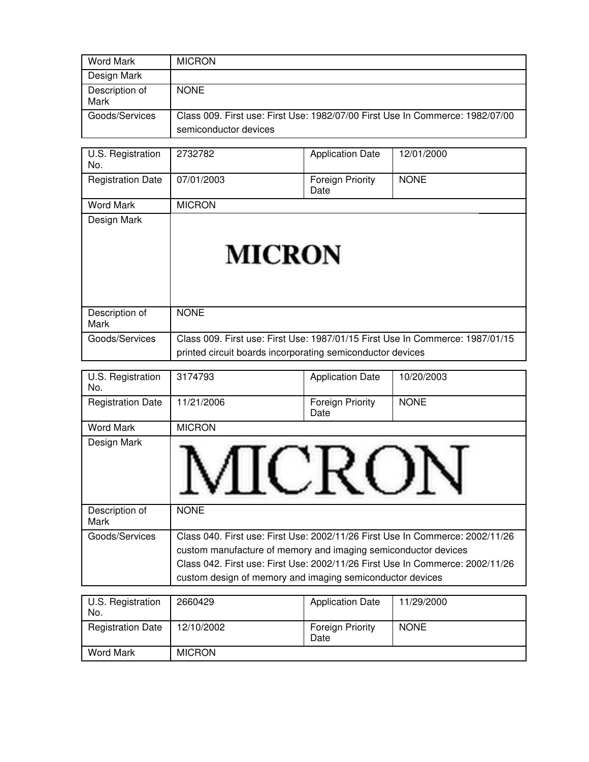| Word Mark              | <b>MICRON</b>                                                                                          |
|------------------------|--------------------------------------------------------------------------------------------------------|
| Design Mark            |                                                                                                        |
| Description of<br>Mark | <b>NONE</b>                                                                                            |
| Goods/Services         | Class 009. First use: First Use: 1982/07/00 First Use In Commerce: 1982/07/00<br>semiconductor devices |

| U.S. Registration<br>No. | 2732782                                                    | <b>Application Date</b>         | 12/01/2000                                                                    |
|--------------------------|------------------------------------------------------------|---------------------------------|-------------------------------------------------------------------------------|
| <b>Registration Date</b> | 07/01/2003                                                 | <b>Foreign Priority</b><br>Date | <b>NONE</b>                                                                   |
| Word Mark                | <b>MICRON</b>                                              |                                 |                                                                               |
| Design Mark              | <b>MICRON</b>                                              |                                 |                                                                               |
| Description of<br>Mark   | <b>NONE</b>                                                |                                 |                                                                               |
| Goods/Services           | printed circuit boards incorporating semiconductor devices |                                 | Class 009. First use: First Use: 1987/01/15 First Use In Commerce: 1987/01/15 |

| U.S. Registration<br>No. | 3174793                                                                                                                                                                                                                                                                                       | <b>Application Date</b>  | 10/20/2003  |
|--------------------------|-----------------------------------------------------------------------------------------------------------------------------------------------------------------------------------------------------------------------------------------------------------------------------------------------|--------------------------|-------------|
| <b>Registration Date</b> | 11/21/2006                                                                                                                                                                                                                                                                                    | Foreign Priority<br>Date | <b>NONE</b> |
| <b>Word Mark</b>         | <b>MICRON</b>                                                                                                                                                                                                                                                                                 |                          |             |
| Design Mark              |                                                                                                                                                                                                                                                                                               |                          |             |
| Description of<br>Mark   | <b>NONE</b>                                                                                                                                                                                                                                                                                   |                          |             |
| Goods/Services           | Class 040. First use: First Use: 2002/11/26 First Use In Commerce: 2002/11/26<br>custom manufacture of memory and imaging semiconductor devices<br>Class 042. First use: First Use: 2002/11/26 First Use In Commerce: 2002/11/26<br>custom design of memory and imaging semiconductor devices |                          |             |

| U.S. Registration<br>No. | 2660429       | <b>Application Date</b>         | 11/29/2000  |
|--------------------------|---------------|---------------------------------|-------------|
| <b>Registration Date</b> | 12/10/2002    | <b>Foreign Priority</b><br>Date | <b>NONE</b> |
| Word Mark                | <b>MICRON</b> |                                 |             |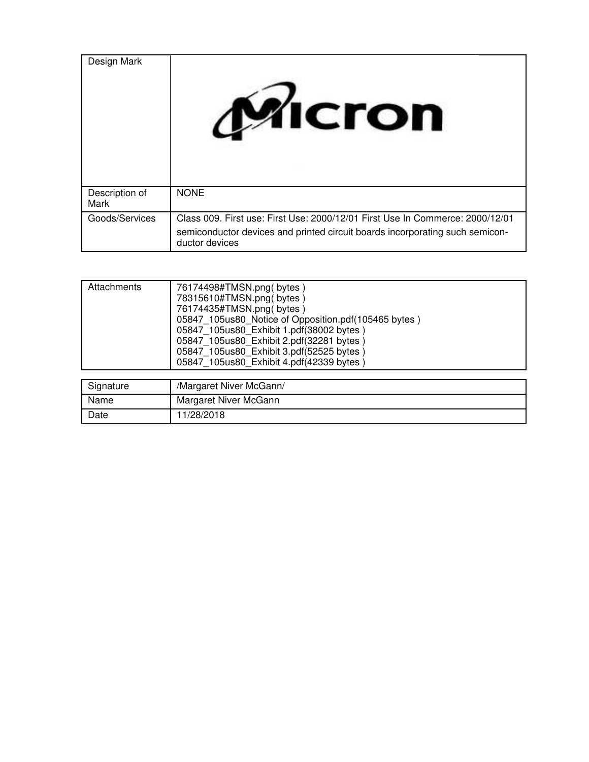| Design Mark            | <b>MICron</b>                                                                                                                                                                   |
|------------------------|---------------------------------------------------------------------------------------------------------------------------------------------------------------------------------|
| Description of<br>Mark | <b>NONE</b>                                                                                                                                                                     |
| Goods/Services         | Class 009. First use: First Use: 2000/12/01 First Use In Commerce: 2000/12/01<br>semiconductor devices and printed circuit boards incorporating such semicon-<br>ductor devices |

| Attachments | 76174498#TMSN.png(bytes)<br>78315610#TMSN.png(bytes)<br>76174435#TMSN.png(bytes)<br>05847 105us80_Notice of Opposition.pdf(105465 bytes)<br>05847 105us80 Exhibit 1.pdf(38002 bytes)<br>05847 105us80 Exhibit 2.pdf(32281 bytes)<br>05847 105us80 Exhibit 3.pdf(52525 bytes)<br>05847 105us80 Exhibit 4.pdf(42339 bytes) |
|-------------|--------------------------------------------------------------------------------------------------------------------------------------------------------------------------------------------------------------------------------------------------------------------------------------------------------------------------|
| Signature   | /Margaret Niver McGann/                                                                                                                                                                                                                                                                                                  |
| Name        | Margaret Niver McGann                                                                                                                                                                                                                                                                                                    |
| Date        | 11/28/2018                                                                                                                                                                                                                                                                                                               |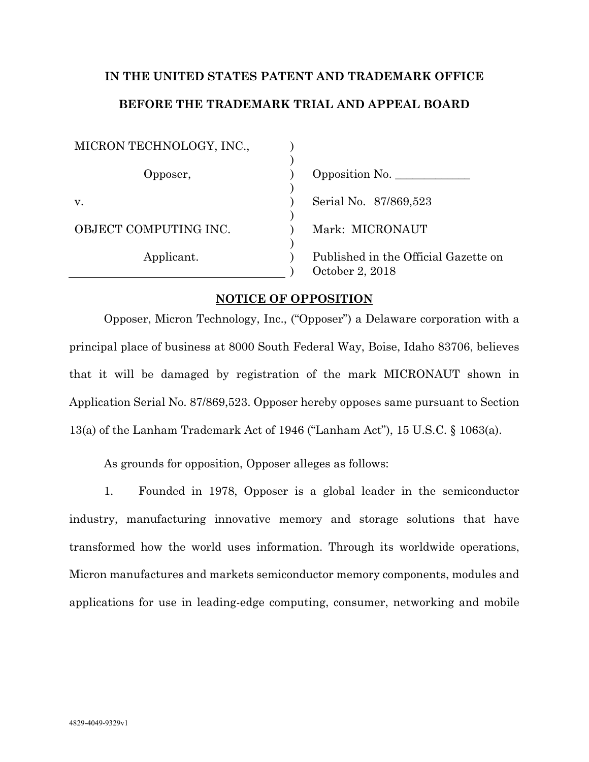# **IN THE UNITED STATES PATENT AND TRADEMARK OFFICE BEFORE THE TRADEMARK TRIAL AND APPEAL BOARD**

| MICRON TECHNOLOGY, INC., |                                                         |
|--------------------------|---------------------------------------------------------|
| Opposer,                 | Opposition No.                                          |
| V.                       | Serial No. 87/869,523                                   |
| OBJECT COMPUTING INC.    | Mark: MICRONAUT                                         |
| Applicant.               | Published in the Official Gazette on<br>October 2, 2018 |

### **NOTICE OF OPPOSITION**

Opposer, Micron Technology, Inc., ("Opposer") a Delaware corporation with a principal place of business at 8000 South Federal Way, Boise, Idaho 83706, believes that it will be damaged by registration of the mark MICRONAUT shown in Application Serial No. 87/869,523. Opposer hereby opposes same pursuant to Section 13(a) of the Lanham Trademark Act of 1946 ("Lanham Act"), 15 U.S.C. § 1063(a).

As grounds for opposition, Opposer alleges as follows:

1. Founded in 1978, Opposer is a global leader in the semiconductor industry, manufacturing innovative memory and storage solutions that have transformed how the world uses information. Through its worldwide operations, Micron manufactures and markets semiconductor memory components, modules and applications for use in leading-edge computing, consumer, networking and mobile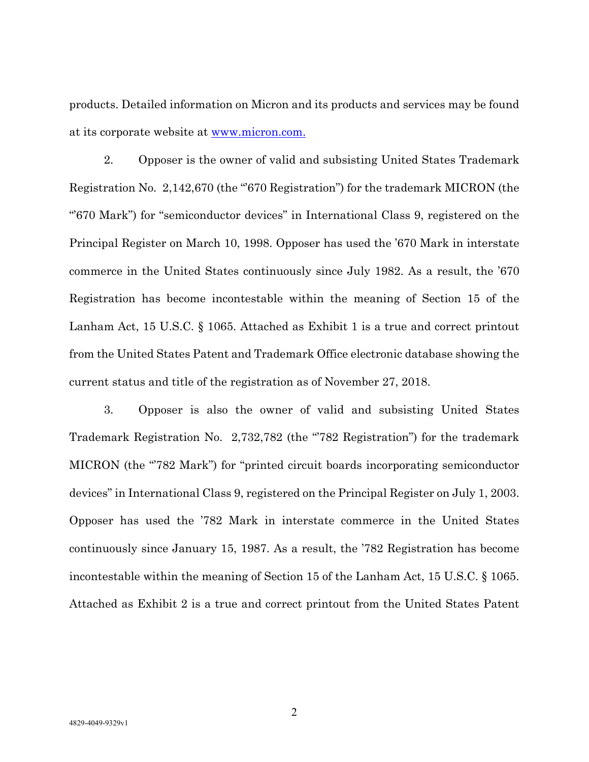products. Detailed information on Micron and its products and services may be found at its corporate website at www.micron.com.

2. Opposer is the owner of valid and subsisting United States Trademark Registration No. 2,142,670 (the "670 Registration") for the trademark MICRON (the "'670 Mark") for "semiconductor devices" in International Class 9, registered on the Principal Register on March 10, 1998. Opposer has used the '670 Mark in interstate commerce in the United States continuously since July 1982. As a result, the '670 Registration has become incontestable within the meaning of Section 15 of the Lanham Act, 15 U.S.C. § 1065. Attached as Exhibit 1 is a true and correct printout from the United States Patent and Trademark Office electronic database showing the current status and title of the registration as of November 27, 2018.

3. Opposer is also the owner of valid and subsisting United States Trademark Registration No. 2,732,782 (the "782 Registration") for the trademark MICRON (the "'782 Mark") for "printed circuit boards incorporating semiconductor devices" in International Class 9, registered on the Principal Register on July 1, 2003. Opposer has used the '782 Mark in interstate commerce in the United States continuously since January 15, 1987. As a result, the '782 Registration has become incontestable within the meaning of Section 15 of the Lanham Act, 15 U.S.C. § 1065. Attached as Exhibit 2 is a true and correct printout from the United States Patent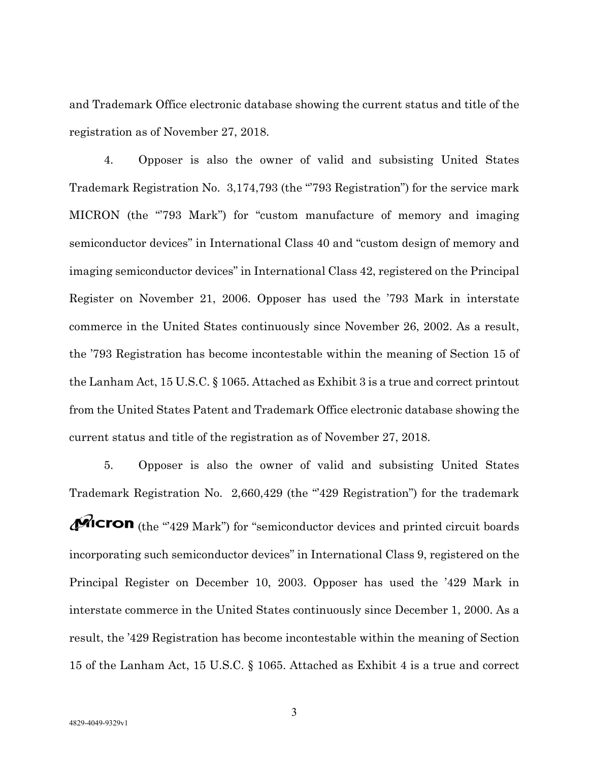and Trademark Office electronic database showing the current status and title of the registration as of November 27, 2018.

4. Opposer is also the owner of valid and subsisting United States Trademark Registration No. 3,174,793 (the "793 Registration") for the service mark MICRON (the "793 Mark") for "custom manufacture of memory and imaging semiconductor devices" in International Class 40 and "custom design of memory and imaging semiconductor devices" in International Class 42, registered on the Principal Register on November 21, 2006. Opposer has used the '793 Mark in interstate commerce in the United States continuously since November 26, 2002. As a result, the '793 Registration has become incontestable within the meaning of Section 15 of the Lanham Act, 15 U.S.C. § 1065. Attached as Exhibit 3 is a true and correct printout from the United States Patent and Trademark Office electronic database showing the current status and title of the registration as of November 27, 2018.

5. Opposer is also the owner of valid and subsisting United States Trademark Registration No. 2,660,429 (the "429 Registration") for the trademark  $\mathbf{\mathcal{M}}$ Cron (the "429 Mark") for "semiconductor devices and printed circuit boards incorporating such semiconductor devices" in International Class 9, registered on the Principal Register on December 10, 2003. Opposer has used the '429 Mark in interstate commerce in the United States continuously since December 1, 2000. As a result, the '429 Registration has become incontestable within the meaning of Section 15 of the Lanham Act, 15 U.S.C. § 1065. Attached as Exhibit 4 is a true and correct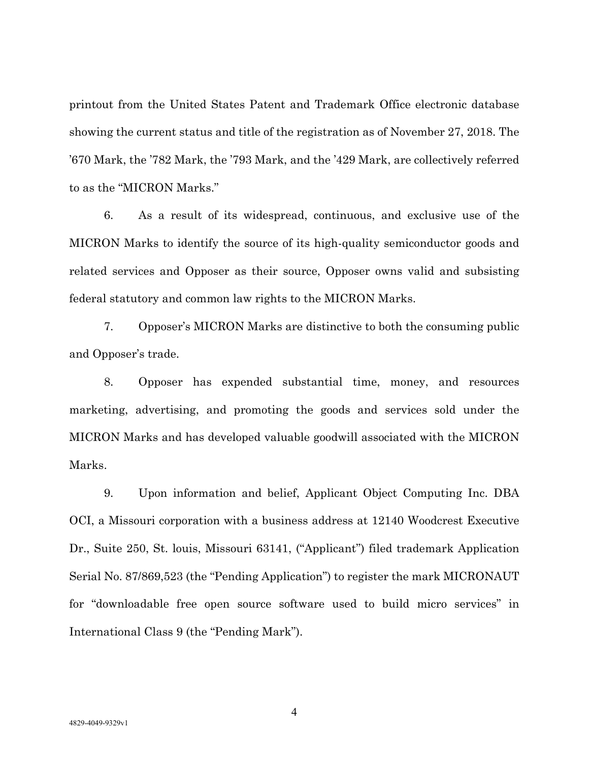printout from the United States Patent and Trademark Office electronic database showing the current status and title of the registration as of November 27, 2018. The '670 Mark, the '782 Mark, the '793 Mark, and the '429 Mark, are collectively referred to as the "MICRON Marks."

6. As a result of its widespread, continuous, and exclusive use of the MICRON Marks to identify the source of its high-quality semiconductor goods and related services and Opposer as their source, Opposer owns valid and subsisting federal statutory and common law rights to the MICRON Marks.

7. Opposer's MICRON Marks are distinctive to both the consuming public and Opposer's trade.

8. Opposer has expended substantial time, money, and resources marketing, advertising, and promoting the goods and services sold under the MICRON Marks and has developed valuable goodwill associated with the MICRON Marks.

9. Upon information and belief, Applicant Object Computing Inc. DBA OCI, a Missouri corporation with a business address at 12140 Woodcrest Executive Dr., Suite 250, St. louis, Missouri 63141, ("Applicant") filed trademark Application Serial No. 87/869,523 (the "Pending Application") to register the mark MICRONAUT for "downloadable free open source software used to build micro services" in International Class 9 (the "Pending Mark").

4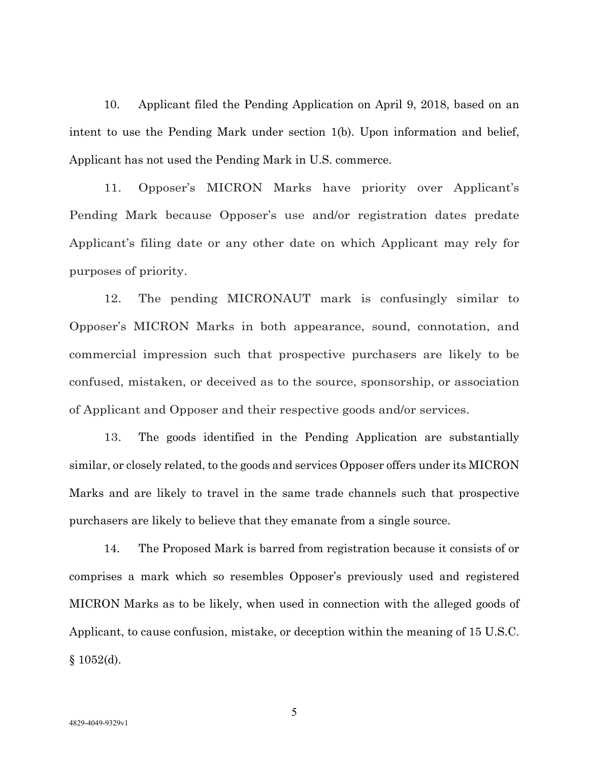10. Applicant filed the Pending Application on April 9, 2018, based on an intent to use the Pending Mark under section 1(b). Upon information and belief, Applicant has not used the Pending Mark in U.S. commerce.

11. Opposer's MICRON Marks have priority over Applicant's Pending Mark because Opposer's use and/or registration dates predate Applicant's filing date or any other date on which Applicant may rely for purposes of priority.

12. The pending MICRONAUT mark is confusingly similar to Opposer's MICRON Marks in both appearance, sound, connotation, and commercial impression such that prospective purchasers are likely to be confused, mistaken, or deceived as to the source, sponsorship, or association of Applicant and Opposer and their respective goods and/or services.

13. The goods identified in the Pending Application are substantially similar, or closely related, to the goods and services Opposer offers under its MICRON Marks and are likely to travel in the same trade channels such that prospective purchasers are likely to believe that they emanate from a single source.

14. The Proposed Mark is barred from registration because it consists of or comprises a mark which so resembles Opposer's previously used and registered MICRON Marks as to be likely, when used in connection with the alleged goods of Applicant, to cause confusion, mistake, or deception within the meaning of 15 U.S.C.  $§ 1052(d).$ 

5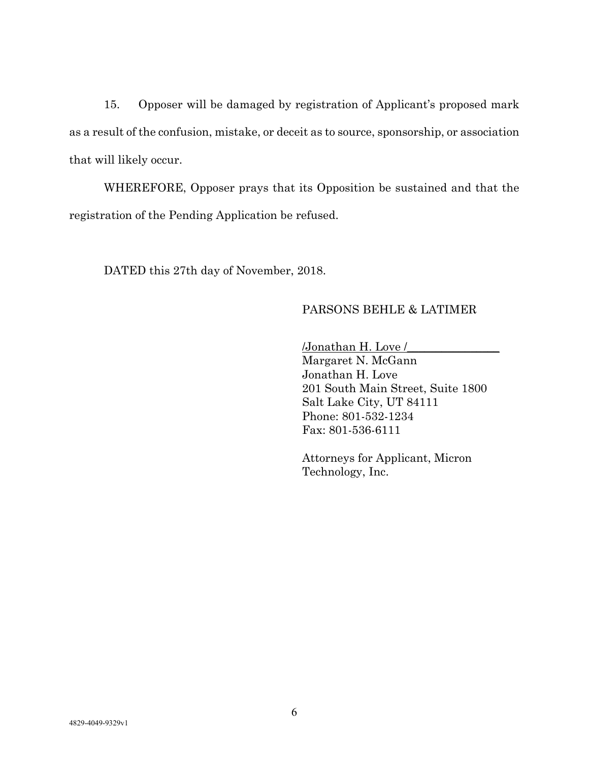15. Opposer will be damaged by registration of Applicant's proposed mark as a result of the confusion, mistake, or deceit as to source, sponsorship, or association that will likely occur.

WHEREFORE, Opposer prays that its Opposition be sustained and that the registration of the Pending Application be refused.

DATED this 27th day of November, 2018.

### PARSONS BEHLE & LATIMER

/Jonathan H. Love /\_\_\_\_\_\_\_\_\_\_\_\_\_\_\_\_ Margaret N. McGann Jonathan H. Love 201 South Main Street, Suite 1800 Salt Lake City, UT 84111 Phone: 801-532-1234 Fax: 801-536-6111

Attorneys for Applicant, Micron Technology, Inc.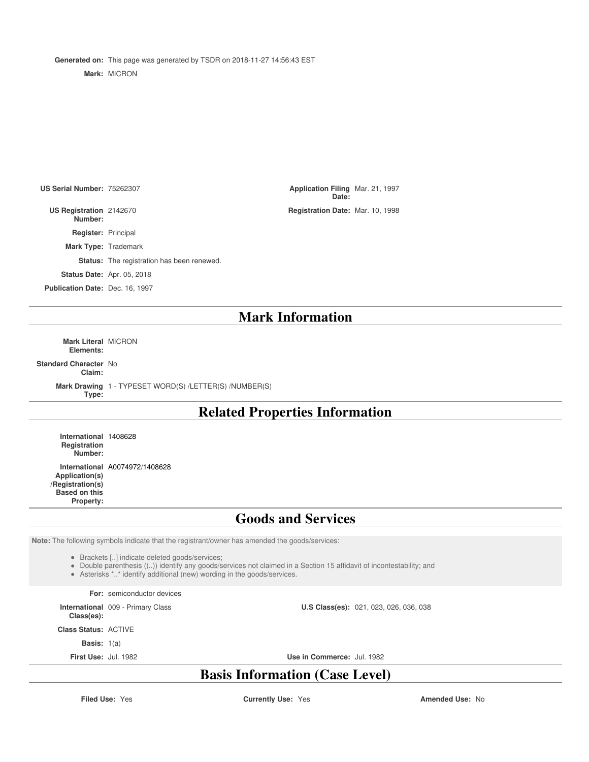**Generated on:** This page was generated by TSDR on 2018-11-27 14:56:43 EST **Mark:** MICRON

**US Serial Number: 75262307** 

**US Registration Number:**

**Register:** Principal

**Mark Type:** Trademark

**Status:** The registration has been renewed.

**Status Date:** Apr. 05, 2018

**Publication Date:** Dec. 16, 1997

**Date:** Application Filing Mar. 21, 1997 Registration Date: Mar. 10, 1998

**Mark Information**

**Mark Literal** MICRON **Elements:**

**Standard Character** No **Claim:**

> **Mark Drawing** 1 - TYPESET WORD(S) /LETTER(S) /NUMBER(S) **Type:**

### **Related Properties Information**

**International** 1408628 **Registration Number:**

**International** A0074972/1408628 **Application(s) /Registration(s) Based on this Property:**

### **Goods and Services**

**Note:** The following symbols indicate that the registrant/owner has amended the goods/services:

Brackets [..] indicate deleted goods/services;

Double parenthesis ((..)) identify any goods/services not claimed in a Section 15 affidavit of incontestability; and

Asterisks \*..\* identify additional (new) wording in the goods/services.

**For:** semiconductor devices

**International** 009 - Primary Class

**Class(es):**

**Class Status:** ACTIVE

**Basis:** 1(a)

**First Use:** Jul. 1982 **Use in Commerce:** Jul. 1982

**U.S Class(es):** 021, 023, 026, 036, 038

# **Basis Information (Case Level)**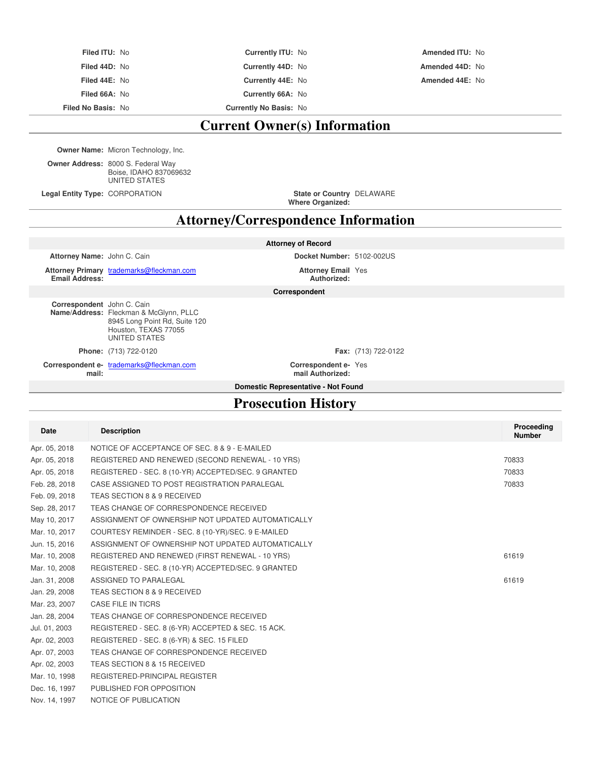| <b>Current Owner(s) Information</b> |                               |                        |  |
|-------------------------------------|-------------------------------|------------------------|--|
| <b>Filed No Basis: No</b>           | <b>Currently No Basis: No</b> |                        |  |
| Filed 66A: No                       | Currently 66A: No             |                        |  |
| Filed 44E: No                       | Currently 44E: No             | Amended 44E: No        |  |
| Filed 44D: No                       | Currently 44D: No             | Amended 44D: No        |  |
| Filed ITU: No                       | <b>Currently ITU: No</b>      | <b>Amended ITU: No</b> |  |

**Owner Name:** Micron Technology, Inc.

**Owner Address:** 8000 S. Federal Way Boise, IDAHO 837069632 UNITED STATES

**Legal Entity Type: CORPORATION** 

**Where Organized:** DELAWARE

# **Attorney/Correspondence Information**

|                             |                                                                                                                  | <b>Attorney of Record</b>                |                            |
|-----------------------------|------------------------------------------------------------------------------------------------------------------|------------------------------------------|----------------------------|
| Attorney Name: John C. Cain |                                                                                                                  | Docket Number: 5102-002US                |                            |
| <b>Email Address:</b>       | Attorney Primary trademarks@fleckman.com                                                                         | <b>Attorney Email Yes</b><br>Authorized: |                            |
|                             |                                                                                                                  | Correspondent                            |                            |
| Correspondent John C. Cain  | Name/Address: Fleckman & McGlynn, PLLC<br>8945 Long Point Rd, Suite 120<br>Houston, TEXAS 77055<br>UNITED STATES |                                          |                            |
|                             | Phone: (713) 722-0120                                                                                            |                                          | <b>Fax:</b> (713) 722-0122 |
| mail:                       | Correspondent e- trademarks@fleckman.com                                                                         | Correspondent e-Yes<br>mail Authorized:  |                            |
|                             |                                                                                                                  | Domestic Representative - Not Found      |                            |

# **Prosecution History**

| <b>Date</b>   | <b>Description</b>                                  | Proceeding<br><b>Number</b> |
|---------------|-----------------------------------------------------|-----------------------------|
| Apr. 05, 2018 | NOTICE OF ACCEPTANCE OF SEC. 8 & 9 - E-MAILED       |                             |
| Apr. 05, 2018 | REGISTERED AND RENEWED (SECOND RENEWAL - 10 YRS)    | 70833                       |
| Apr. 05, 2018 | REGISTERED - SEC. 8 (10-YR) ACCEPTED/SEC. 9 GRANTED | 70833                       |
| Feb. 28, 2018 | CASE ASSIGNED TO POST REGISTRATION PARALEGAL        | 70833                       |
| Feb. 09, 2018 | TEAS SECTION 8 & 9 RECEIVED                         |                             |
| Sep. 28, 2017 | TEAS CHANGE OF CORRESPONDENCE RECEIVED              |                             |
| May 10, 2017  | ASSIGNMENT OF OWNERSHIP NOT UPDATED AUTOMATICALLY   |                             |
| Mar. 10, 2017 | COURTESY REMINDER - SEC. 8 (10-YR)/SEC. 9 E-MAILED  |                             |
| Jun. 15, 2016 | ASSIGNMENT OF OWNERSHIP NOT UPDATED AUTOMATICALLY   |                             |
| Mar. 10, 2008 | REGISTERED AND RENEWED (FIRST RENEWAL - 10 YRS)     | 61619                       |
| Mar. 10, 2008 | REGISTERED - SEC. 8 (10-YR) ACCEPTED/SEC. 9 GRANTED |                             |
| Jan. 31, 2008 | ASSIGNED TO PARALEGAL                               | 61619                       |
| Jan. 29, 2008 | TEAS SECTION 8 & 9 RECEIVED                         |                             |
| Mar. 23, 2007 | CASE FILE IN TICRS                                  |                             |
| Jan. 28, 2004 | TEAS CHANGE OF CORRESPONDENCE RECEIVED              |                             |
| Jul. 01, 2003 | REGISTERED - SEC. 8 (6-YR) ACCEPTED & SEC. 15 ACK.  |                             |
| Apr. 02, 2003 | REGISTERED - SEC. 8 (6-YR) & SEC. 15 FILED          |                             |
| Apr. 07, 2003 | TEAS CHANGE OF CORRESPONDENCE RECEIVED              |                             |
| Apr. 02, 2003 | TEAS SECTION 8 & 15 RECEIVED                        |                             |
| Mar. 10, 1998 | REGISTERED-PRINCIPAL REGISTER                       |                             |
| Dec. 16, 1997 | PUBLISHED FOR OPPOSITION                            |                             |
| Nov. 14, 1997 | NOTICE OF PUBLICATION                               |                             |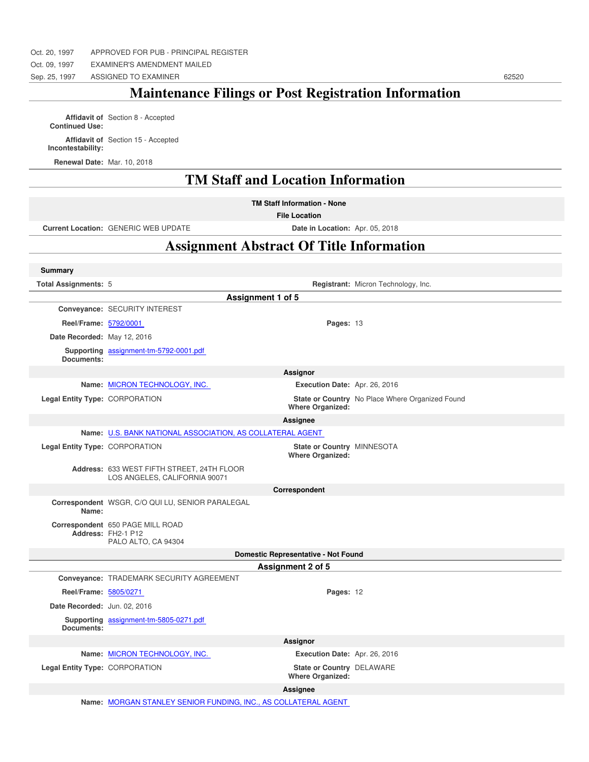Sep. 25, 1997 ASSIGNED TO EXAMINER 62520

# **Maintenance Filings or Post Registration Information**

**Affidavit of Continued Use:** Section 8 - Accepted **Affidavit of** Section 15 - Accepted **Incontestability:**

**Renewal Date:** Mar. 10, 2018

**Summary**

### **TM Staff and Location Information**

**TM Staff Information - None**

**File Location**

**Current Location:** GENERIC WEB UPDATE **Date in Location:** Apr. 05, 2018

## **Assignment Abstract Of Title Information**

| <b>Total Assignments: 5</b>    |                                                                               |                                                       | Registrant: Micron Technology, Inc.             |
|--------------------------------|-------------------------------------------------------------------------------|-------------------------------------------------------|-------------------------------------------------|
|                                | Assignment 1 of 5                                                             |                                                       |                                                 |
|                                | Conveyance: SECURITY INTEREST                                                 |                                                       |                                                 |
| Reel/Frame: 5792/0001          |                                                                               | Pages: 13                                             |                                                 |
| Date Recorded: May 12, 2016    |                                                                               |                                                       |                                                 |
| Documents:                     | Supporting assignment-tm-5792-0001.pdf                                        |                                                       |                                                 |
|                                |                                                                               | Assignor                                              |                                                 |
|                                | Name: MICRON TECHNOLOGY, INC.                                                 | Execution Date: Apr. 26, 2016                         |                                                 |
| Legal Entity Type: CORPORATION |                                                                               | <b>Where Organized:</b>                               | State or Country No Place Where Organized Found |
|                                |                                                                               | Assignee                                              |                                                 |
|                                | Name: U.S. BANK NATIONAL ASSOCIATION, AS COLLATERAL AGENT                     |                                                       |                                                 |
| Legal Entity Type: CORPORATION |                                                                               | State or Country MINNESOTA<br><b>Where Organized:</b> |                                                 |
|                                | Address: 633 WEST FIFTH STREET, 24TH FLOOR<br>LOS ANGELES, CALIFORNIA 90071   |                                                       |                                                 |
|                                |                                                                               | Correspondent                                         |                                                 |
| Name:                          | Correspondent WSGR, C/O QUI LU, SENIOR PARALEGAL                              |                                                       |                                                 |
|                                | Correspondent 650 PAGE MILL ROAD<br>Address: FH2-1 P12<br>PALO ALTO, CA 94304 |                                                       |                                                 |
|                                | Domestic Representative - Not Found                                           |                                                       |                                                 |
|                                | Assignment 2 of 5                                                             |                                                       |                                                 |
|                                | Conveyance: TRADEMARK SECURITY AGREEMENT                                      |                                                       |                                                 |
| Reel/Frame: 5805/0271          |                                                                               | Pages: 12                                             |                                                 |
| Date Recorded: Jun. 02, 2016   |                                                                               |                                                       |                                                 |
| Documents:                     | Supporting assignment-tm-5805-0271.pdf                                        |                                                       |                                                 |
|                                |                                                                               | Assignor                                              |                                                 |
|                                | Name: MICRON TECHNOLOGY, INC.                                                 | Execution Date: Apr. 26, 2016                         |                                                 |
| Legal Entity Type: CORPORATION |                                                                               | State or Country DELAWARE<br><b>Where Organized:</b>  |                                                 |
|                                |                                                                               | Assignee                                              |                                                 |
|                                |                                                                               |                                                       |                                                 |

**Name:** MORGAN STANLEY SENIOR FUNDING, INC., AS COLLATERAL AGENT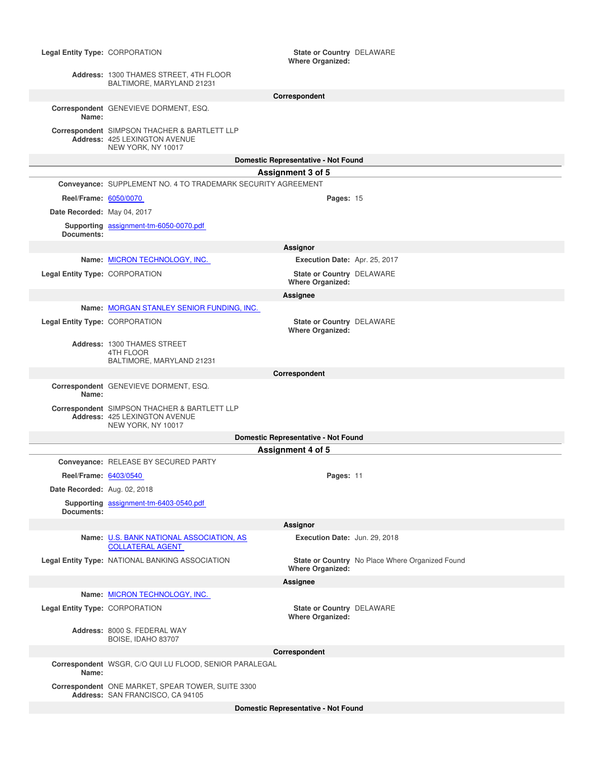#### **Legal Entity Type: CORPORATION Where Organized:** State or Country DELAWARE **Address:** 1300 THAMES STREET, 4TH FLOOR BALTIMORE, MARYLAND 21231 **Correspondent Correspondent** GENEVIEVE DORMENT, ESQ. **Name: Correspondent** SIMPSON THACHER & BARTLETT LLP **Address:** 425 LEXINGTON AVENUE NEW YORK, NY 10017 **Domestic Representative - Not Found Assignment 3 of 5 Conveyance:** SUPPLEMENT NO. 4 TO TRADEMARK SECURITY AGREEMENT **Reel/Frame:** 6050/0070 **Pages:** 15 **Date Recorded:** May 04, 2017 **Supporting** assignment-tm-6050-0070.pdf **Documents: Assignor Name:** MICRON TECHNOLOGY, INC. **Execution Date:** Apr. 25, 2017 **Legal Entity Type: CORPORATION Where Organized:** State or Country DELAWARE **Assignee Name:** MORGAN STANLEY SENIOR FUNDING, INC. **Legal Entity Type: CORPORATION Where Organized:** State or Country DELAWARE **Address:** 1300 THAMES STREET 4TH FLOOR BALTIMORE, MARYLAND 21231 **Correspondent Correspondent** GENEVIEVE DORMENT, ESQ. **Name: Correspondent** SIMPSON THACHER & BARTLETT LLP **Address:** 425 LEXINGTON AVENUE NEW YORK, NY 10017 **Domestic Representative - Not Found Assignment 4 of 5 Conveyance:** RELEASE BY SECURED PARTY **Reel/Frame:** 6403/0540 **Pages:** 11 **Date Recorded:** Aug. 02, 2018 **Supporting** assignment-tm-6403-0540.pdf **Documents: Assignor Name:** U.S. BANK NATIONAL ASSOCIATION, AS COLLATERAL AGENT **Execution Date:** Jun. 29, 2018 **Legal Entity Type: NATIONAL BANKING ASSOCIATION Where Organized:** State or Country No Place Where Organized Found **Assignee Name:** MICRON TECHNOLOGY, INC. **Legal Entity Type: CORPORATION Where Organized:** State or Country DELAWARE **Address:** 8000 S. FEDERAL WAY BOISE, IDAHO 83707 **Correspondent Correspondent** WSGR, C/O QUI LU FLOOD, SENIOR PARALEGAL **Name: Correspondent** ONE MARKET, SPEAR TOWER, SUITE 3300 **Address:** SAN FRANCISCO, CA 94105 **Domestic Representative - Not Found**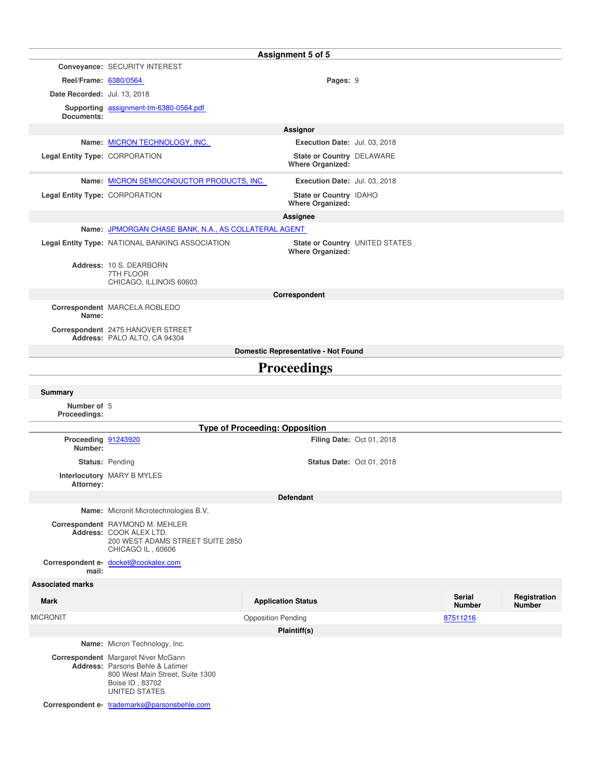|                                |                                                                                                                                                        | Assignment 5 of 5                                    |                                  |                                |                               |
|--------------------------------|--------------------------------------------------------------------------------------------------------------------------------------------------------|------------------------------------------------------|----------------------------------|--------------------------------|-------------------------------|
|                                | Conveyance: SECURITY INTEREST                                                                                                                          |                                                      |                                  |                                |                               |
| Reel/Frame: 6380/0564          |                                                                                                                                                        | Pages: 9                                             |                                  |                                |                               |
| Date Recorded: Jul. 13, 2018   |                                                                                                                                                        |                                                      |                                  |                                |                               |
| Documents:                     | Supporting assignment-tm-6380-0564.pdf                                                                                                                 |                                                      |                                  |                                |                               |
|                                |                                                                                                                                                        | Assignor                                             |                                  |                                |                               |
|                                | Name: MICRON TECHNOLOGY, INC.                                                                                                                          | Execution Date: Jul. 03, 2018                        |                                  |                                |                               |
| Legal Entity Type: CORPORATION |                                                                                                                                                        | State or Country DELAWARE<br><b>Where Organized:</b> |                                  |                                |                               |
|                                | Name: MICRON SEMICONDUCTOR PRODUCTS, INC.                                                                                                              | Execution Date: Jul. 03, 2018                        |                                  |                                |                               |
| Legal Entity Type: CORPORATION |                                                                                                                                                        | State or Country IDAHO<br><b>Where Organized:</b>    |                                  |                                |                               |
|                                |                                                                                                                                                        | Assignee                                             |                                  |                                |                               |
|                                | Name: JPMORGAN CHASE BANK, N.A., AS COLLATERAL AGENT                                                                                                   |                                                      |                                  |                                |                               |
|                                | Legal Entity Type: NATIONAL BANKING ASSOCIATION                                                                                                        | <b>Where Organized:</b>                              | State or Country UNITED STATES   |                                |                               |
|                                | Address: 10 S. DEARBORN<br>7TH FLOOR<br>CHICAGO, ILLINOIS 60603                                                                                        |                                                      |                                  |                                |                               |
|                                |                                                                                                                                                        | Correspondent                                        |                                  |                                |                               |
| Name:                          | Correspondent MARCELA ROBLEDO                                                                                                                          |                                                      |                                  |                                |                               |
|                                | Correspondent 2475 HANOVER STREET<br>Address: PALO ALTO, CA 94304                                                                                      |                                                      |                                  |                                |                               |
|                                |                                                                                                                                                        | Domestic Representative - Not Found                  |                                  |                                |                               |
|                                |                                                                                                                                                        | <b>Proceedings</b>                                   |                                  |                                |                               |
| <b>Summary</b>                 |                                                                                                                                                        |                                                      |                                  |                                |                               |
| Number of 5                    |                                                                                                                                                        |                                                      |                                  |                                |                               |
| Proceedings:                   |                                                                                                                                                        |                                                      |                                  |                                |                               |
|                                |                                                                                                                                                        | <b>Type of Proceeding: Opposition</b>                |                                  |                                |                               |
| Proceeding 91243920<br>Number: |                                                                                                                                                        |                                                      | <b>Filing Date: Oct 01, 2018</b> |                                |                               |
|                                | Status: Pending                                                                                                                                        |                                                      | <b>Status Date: Oct 01, 2018</b> |                                |                               |
| <b>Attorney:</b>               | Interlocutory MARY B MYLES                                                                                                                             |                                                      |                                  |                                |                               |
|                                |                                                                                                                                                        | <b>Defendant</b>                                     |                                  |                                |                               |
|                                | Name: Micronit Microtechnologies B.V.                                                                                                                  |                                                      |                                  |                                |                               |
|                                | Correspondent RAYMOND M. MEHLER<br>Address: COOK ALEX LTD.<br>200 WEST ADAMS STREET SUITE 2850<br>CHICAGO IL, 60606                                    |                                                      |                                  |                                |                               |
| mail:                          | Correspondent e- docket@cookalex.com                                                                                                                   |                                                      |                                  |                                |                               |
| <b>Associated marks</b>        |                                                                                                                                                        |                                                      |                                  |                                |                               |
| <b>Mark</b>                    |                                                                                                                                                        | <b>Application Status</b>                            |                                  | <b>Serial</b><br><b>Number</b> | Registration<br><b>Number</b> |
| <b>MICRONIT</b>                |                                                                                                                                                        | <b>Opposition Pending</b>                            |                                  | 87511216                       |                               |
|                                |                                                                                                                                                        | Plaintiff(s)                                         |                                  |                                |                               |
|                                | Name: Micron Technology, Inc.                                                                                                                          |                                                      |                                  |                                |                               |
|                                | Correspondent Margaret Niver McGann<br>Address: Parsons Behle & Latimer<br>800 West Main Street, Suite 1300<br>Boise ID, 83702<br><b>UNITED STATES</b> |                                                      |                                  |                                |                               |
|                                | Correspondent e- trademarks@parsonsbehle.com                                                                                                           |                                                      |                                  |                                |                               |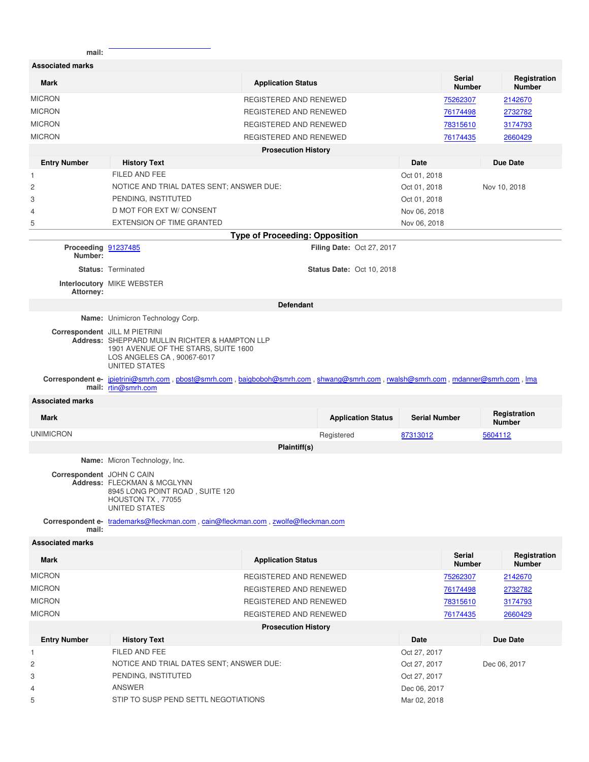| mail:                          |                                                                                                                                                                        |                                       |                                  |                      |                                |         |                               |
|--------------------------------|------------------------------------------------------------------------------------------------------------------------------------------------------------------------|---------------------------------------|----------------------------------|----------------------|--------------------------------|---------|-------------------------------|
| <b>Associated marks</b>        |                                                                                                                                                                        |                                       |                                  |                      |                                |         |                               |
| <b>Mark</b>                    |                                                                                                                                                                        | <b>Application Status</b>             |                                  |                      | <b>Serial</b><br><b>Number</b> |         | Registration<br><b>Number</b> |
| <b>MICRON</b>                  |                                                                                                                                                                        | REGISTERED AND RENEWED                |                                  |                      | 75262307                       |         | 2142670                       |
| <b>MICRON</b>                  |                                                                                                                                                                        | REGISTERED AND RENEWED                |                                  |                      | 76174498                       |         | 2732782                       |
| <b>MICRON</b>                  |                                                                                                                                                                        | REGISTERED AND RENEWED                |                                  |                      | 78315610                       |         | 3174793                       |
| <b>MICRON</b>                  |                                                                                                                                                                        | REGISTERED AND RENEWED                |                                  |                      | 76174435                       |         | 2660429                       |
|                                |                                                                                                                                                                        | <b>Prosecution History</b>            |                                  |                      |                                |         |                               |
| <b>Entry Number</b>            | <b>History Text</b>                                                                                                                                                    |                                       |                                  | <b>Date</b>          |                                |         | <b>Due Date</b>               |
| $\mathbf{1}$                   | FILED AND FEE                                                                                                                                                          |                                       |                                  | Oct 01, 2018         |                                |         |                               |
| $\overline{c}$                 | NOTICE AND TRIAL DATES SENT; ANSWER DUE:                                                                                                                               |                                       |                                  | Oct 01, 2018         |                                |         | Nov 10, 2018                  |
| 3                              | PENDING, INSTITUTED                                                                                                                                                    |                                       |                                  | Oct 01, 2018         |                                |         |                               |
| 4                              | D MOT FOR EXT W/ CONSENT                                                                                                                                               |                                       |                                  | Nov 06, 2018         |                                |         |                               |
| 5                              | <b>EXTENSION OF TIME GRANTED</b>                                                                                                                                       |                                       |                                  | Nov 06, 2018         |                                |         |                               |
|                                |                                                                                                                                                                        | <b>Type of Proceeding: Opposition</b> |                                  |                      |                                |         |                               |
| Proceeding 91237485<br>Number: |                                                                                                                                                                        |                                       | <b>Filing Date: Oct 27, 2017</b> |                      |                                |         |                               |
|                                | <b>Status: Terminated</b><br>Interlocutory MIKE WEBSTER                                                                                                                |                                       | <b>Status Date: Oct 10, 2018</b> |                      |                                |         |                               |
| Attorney:                      |                                                                                                                                                                        |                                       |                                  |                      |                                |         |                               |
|                                |                                                                                                                                                                        | <b>Defendant</b>                      |                                  |                      |                                |         |                               |
|                                | Name: Unimicron Technology Corp.                                                                                                                                       |                                       |                                  |                      |                                |         |                               |
|                                | Correspondent JILL M PIETRINI<br>Address: SHEPPARD MULLIN RICHTER & HAMPTON LLP<br>1901 AVENUE OF THE STARS, SUITE 1600<br>LOS ANGELES CA, 90067-6017<br>UNITED STATES |                                       |                                  |                      |                                |         |                               |
|                                | Correspondent e- jpietrini@smrh.com, pbost@smrh.com, baigboboh@smrh.com, shwang@smrh.com, rwalsh@smrh.com, mdanner@smrh.com, Ima<br>mail: rtin@smrh.com                |                                       |                                  |                      |                                |         |                               |
| <b>Associated marks</b>        |                                                                                                                                                                        |                                       |                                  |                      |                                |         |                               |
| <b>Mark</b>                    |                                                                                                                                                                        |                                       | <b>Application Status</b>        | <b>Serial Number</b> |                                |         | Registration<br><b>Number</b> |
| <b>UNIMICRON</b>               |                                                                                                                                                                        |                                       | Registered                       | 87313012             |                                | 5604112 |                               |
|                                |                                                                                                                                                                        | Plaintiff(s)                          |                                  |                      |                                |         |                               |
|                                | Name: Micron Technology, Inc.                                                                                                                                          |                                       |                                  |                      |                                |         |                               |
| Correspondent JOHN C CAIN      | Address: FLECKMAN & MCGLYNN<br>8945 LONG POINT ROAD, SUITE 120<br>HOUSTON TX, 77055<br><b>UNITED STATES</b>                                                            |                                       |                                  |                      |                                |         |                               |
| mail:                          | Correspondent e- trademarks@fleckman.com , cain@fleckman.com , zwolfe@fleckman.com                                                                                     |                                       |                                  |                      |                                |         |                               |
| <b>Associated marks</b>        |                                                                                                                                                                        |                                       |                                  |                      |                                |         |                               |
| <b>Mark</b>                    |                                                                                                                                                                        | <b>Application Status</b>             |                                  |                      | <b>Serial</b><br><b>Number</b> |         | Registration<br><b>Number</b> |
| <b>MICRON</b>                  |                                                                                                                                                                        | REGISTERED AND RENEWED                |                                  |                      | 75262307                       |         | 2142670                       |
| <b>MICRON</b>                  |                                                                                                                                                                        | REGISTERED AND RENEWED                |                                  |                      | 76174498                       |         | 2732782                       |
| <b>MICRON</b>                  |                                                                                                                                                                        | REGISTERED AND RENEWED                |                                  |                      | 78315610                       |         | 3174793                       |
| <b>MICRON</b>                  |                                                                                                                                                                        | REGISTERED AND RENEWED                |                                  |                      | 76174435                       |         | 2660429                       |
|                                |                                                                                                                                                                        | <b>Prosecution History</b>            |                                  |                      |                                |         |                               |
| <b>Entry Number</b>            | <b>History Text</b>                                                                                                                                                    |                                       |                                  | Date                 |                                |         | <b>Due Date</b>               |
| $\mathbf{1}$                   | FILED AND FEE                                                                                                                                                          |                                       |                                  | Oct 27, 2017         |                                |         |                               |
| $\overline{c}$                 | NOTICE AND TRIAL DATES SENT; ANSWER DUE:                                                                                                                               |                                       |                                  | Oct 27, 2017         |                                |         | Dec 06, 2017                  |
| 3                              | PENDING, INSTITUTED                                                                                                                                                    |                                       |                                  | Oct 27, 2017         |                                |         |                               |
| 4                              | ANSWER                                                                                                                                                                 |                                       |                                  | Dec 06, 2017         |                                |         |                               |
| 5                              | STIP TO SUSP PEND SETTL NEGOTIATIONS                                                                                                                                   |                                       |                                  | Mar 02, 2018         |                                |         |                               |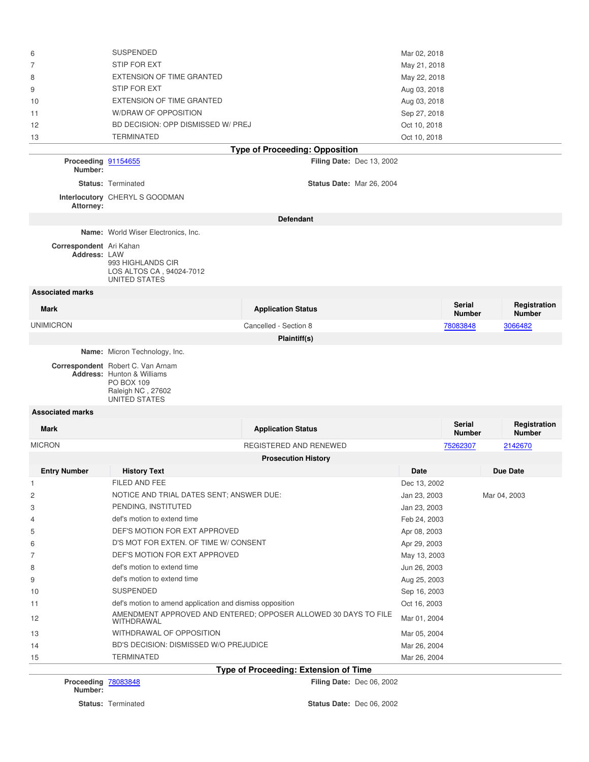| 6                       | <b>SUSPENDED</b>                                                                                                                  |                                                                 | Mar 02, 2018 |                                |                               |
|-------------------------|-----------------------------------------------------------------------------------------------------------------------------------|-----------------------------------------------------------------|--------------|--------------------------------|-------------------------------|
| 7                       | STIP FOR EXT                                                                                                                      |                                                                 | May 21, 2018 |                                |                               |
| 8                       | <b>EXTENSION OF TIME GRANTED</b>                                                                                                  |                                                                 | May 22, 2018 |                                |                               |
| 9                       | STIP FOR EXT                                                                                                                      |                                                                 | Aug 03, 2018 |                                |                               |
| 10                      | <b>EXTENSION OF TIME GRANTED</b>                                                                                                  |                                                                 | Aug 03, 2018 |                                |                               |
| 11                      | W/DRAW OF OPPOSITION                                                                                                              |                                                                 | Sep 27, 2018 |                                |                               |
| 12                      | BD DECISION: OPP DISMISSED W/ PREJ                                                                                                |                                                                 | Oct 10, 2018 |                                |                               |
| 13                      | <b>TERMINATED</b>                                                                                                                 |                                                                 | Oct 10, 2018 |                                |                               |
|                         |                                                                                                                                   | <b>Type of Proceeding: Opposition</b>                           |              |                                |                               |
| Proceeding 91154655     |                                                                                                                                   | <b>Filing Date: Dec 13, 2002</b>                                |              |                                |                               |
| Number:                 |                                                                                                                                   |                                                                 |              |                                |                               |
|                         | <b>Status: Terminated</b>                                                                                                         | <b>Status Date: Mar 26, 2004</b>                                |              |                                |                               |
| Attorney:               | Interlocutory CHERYL S GOODMAN                                                                                                    |                                                                 |              |                                |                               |
|                         |                                                                                                                                   | <b>Defendant</b>                                                |              |                                |                               |
|                         | Name: World Wiser Electronics, Inc.                                                                                               |                                                                 |              |                                |                               |
| Correspondent Ari Kahan |                                                                                                                                   |                                                                 |              |                                |                               |
| Address: LAW            | 993 HIGHLANDS CIR<br>LOS ALTOS CA, 94024-7012<br><b>UNITED STATES</b>                                                             |                                                                 |              |                                |                               |
| <b>Associated marks</b> |                                                                                                                                   |                                                                 |              |                                |                               |
| <b>Mark</b>             |                                                                                                                                   | <b>Application Status</b>                                       |              | <b>Serial</b><br><b>Number</b> | Registration<br><b>Number</b> |
| <b>UNIMICRON</b>        |                                                                                                                                   | Cancelled - Section 8                                           |              | 78083848                       | 3066482                       |
|                         |                                                                                                                                   | Plaintiff(s)                                                    |              |                                |                               |
|                         | Name: Micron Technology, Inc.                                                                                                     |                                                                 |              |                                |                               |
|                         | Correspondent Robert C. Van Arnam<br><b>Address:</b> Hunton & Williams<br>PO BOX 109<br>Raleigh NC, 27602<br><b>UNITED STATES</b> |                                                                 |              |                                |                               |
| <b>Associated marks</b> |                                                                                                                                   |                                                                 |              |                                |                               |
| <b>Mark</b>             |                                                                                                                                   | <b>Application Status</b>                                       |              | <b>Serial</b><br><b>Number</b> | Registration<br><b>Number</b> |
| <b>MICRON</b>           |                                                                                                                                   | REGISTERED AND RENEWED                                          |              | 75262307                       | 2142670                       |
|                         |                                                                                                                                   | <b>Prosecution History</b>                                      |              |                                |                               |
| <b>Entry Number</b>     | <b>History Text</b>                                                                                                               |                                                                 | <b>Date</b>  |                                | Due Date                      |
| $\mathbf{1}$            | FILED AND FEE                                                                                                                     |                                                                 | Dec 13, 2002 |                                |                               |
| 2                       | NOTICE AND TRIAL DATES SENT; ANSWER DUE:                                                                                          |                                                                 | Jan 23, 2003 |                                | Mar 04, 2003                  |
| 3                       | PENDING, INSTITUTED                                                                                                               |                                                                 | Jan 23, 2003 |                                |                               |
| 4                       | def's motion to extend time                                                                                                       |                                                                 | Feb 24, 2003 |                                |                               |
| 5                       | DEF'S MOTION FOR EXT APPROVED                                                                                                     |                                                                 | Apr 08, 2003 |                                |                               |
| 6                       | D'S MOT FOR EXTEN. OF TIME W/ CONSENT                                                                                             |                                                                 | Apr 29, 2003 |                                |                               |
| 7                       | DEF'S MOTION FOR EXT APPROVED                                                                                                     |                                                                 | May 13, 2003 |                                |                               |
| 8                       | def's motion to extend time                                                                                                       |                                                                 | Jun 26, 2003 |                                |                               |
| 9                       | def's motion to extend time                                                                                                       |                                                                 | Aug 25, 2003 |                                |                               |
| 10                      | <b>SUSPENDED</b>                                                                                                                  |                                                                 | Sep 16, 2003 |                                |                               |
| 11                      | def's motion to amend application and dismiss opposition                                                                          |                                                                 | Oct 16, 2003 |                                |                               |
| 12                      | WITHDRAWAL                                                                                                                        | AMENDMENT APPROVED AND ENTERED; OPPOSER ALLOWED 30 DAYS TO FILE | Mar 01, 2004 |                                |                               |
| 13                      | WITHDRAWAL OF OPPOSITION                                                                                                          |                                                                 | Mar 05, 2004 |                                |                               |
| 14                      | BD'S DECISION: DISMISSED W/O PREJUDICE                                                                                            |                                                                 | Mar 26, 2004 |                                |                               |
| 15                      | <b>TERMINATED</b>                                                                                                                 |                                                                 | Mar 26, 2004 |                                |                               |
|                         |                                                                                                                                   | Type of Proceeding: Extension of Time                           |              |                                |                               |

**Proceeding**

**Filing Date: Dec 06, 2002** 

**Number:**

**Status:** Terminated **Status Date:** Dec 06, 2002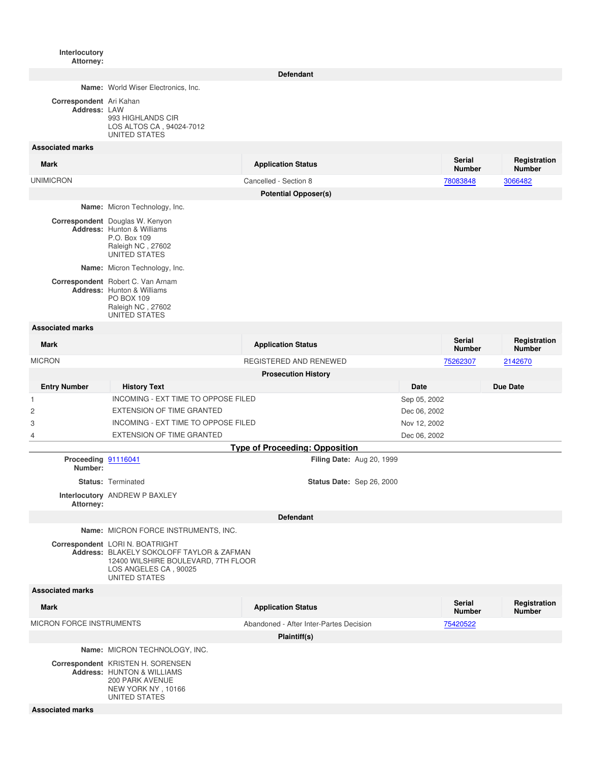**Interlocutory Attorney:**

**Defendant**

**Name:** World Wiser Electronics, Inc.

**Correspondent** Ari Kahan

**Address:** LAW 993 HIGHLANDS CIR LOS ALTOS CA , 94024-7012 UNITED STATES

#### **Associated marks**

| <b>Mark</b>             |                                                                                                                                | <b>Application Status</b>   |      | <b>Serial</b><br><b>Number</b> | Registration<br><b>Number</b> |
|-------------------------|--------------------------------------------------------------------------------------------------------------------------------|-----------------------------|------|--------------------------------|-------------------------------|
| <b>UNIMICRON</b>        |                                                                                                                                | Cancelled - Section 8       |      | 78083848                       | 3066482                       |
|                         |                                                                                                                                | <b>Potential Opposer(s)</b> |      |                                |                               |
|                         | <b>Name:</b> Micron Technology, Inc.                                                                                           |                             |      |                                |                               |
|                         | Correspondent Douglas W. Kenyon<br><b>Address: Hunton &amp; Williams</b><br>P.O. Box 109<br>Raleigh NC, 27602<br>UNITED STATES |                             |      |                                |                               |
|                         | <b>Name:</b> Micron Technology, Inc.                                                                                           |                             |      |                                |                               |
|                         | Correspondent Robert C. Van Arnam<br><b>Address: Hunton &amp; Williams</b><br>PO BOX 109<br>Raleigh NC, 27602<br>UNITED STATES |                             |      |                                |                               |
| <b>Associated marks</b> |                                                                                                                                |                             |      |                                |                               |
| <b>Mark</b>             |                                                                                                                                | <b>Application Status</b>   |      | <b>Serial</b><br><b>Number</b> | Registration<br><b>Number</b> |
| <b>MICRON</b>           |                                                                                                                                | REGISTERED AND RENEWED      |      | 75262307                       | 2142670                       |
|                         |                                                                                                                                | <b>Prosecution History</b>  |      |                                |                               |
| <b>Entry Number</b>     | <b>History Text</b>                                                                                                            |                             | Date |                                | <b>Due Date</b>               |
|                         |                                                                                                                                |                             |      |                                |                               |

| <b>ETITIV MUITINGL</b>          | <b>HISIULY LEAL</b>                                                                                                                                                  |                                         | Dale         |                                | Due Dale                      |  |
|---------------------------------|----------------------------------------------------------------------------------------------------------------------------------------------------------------------|-----------------------------------------|--------------|--------------------------------|-------------------------------|--|
| $\mathbf{1}$                    | INCOMING - EXT TIME TO OPPOSE FILED                                                                                                                                  |                                         | Sep 05, 2002 |                                |                               |  |
| 2                               | <b>EXTENSION OF TIME GRANTED</b>                                                                                                                                     |                                         | Dec 06, 2002 |                                |                               |  |
| 3                               | <b>INCOMING - EXT TIME TO OPPOSE FILED</b>                                                                                                                           |                                         | Nov 12, 2002 |                                |                               |  |
| 4                               | <b>EXTENSION OF TIME GRANTED</b>                                                                                                                                     |                                         | Dec 06, 2002 |                                |                               |  |
|                                 |                                                                                                                                                                      | <b>Type of Proceeding: Opposition</b>   |              |                                |                               |  |
| Proceeding 91116041<br>Number:  |                                                                                                                                                                      | Filing Date: Aug 20, 1999               |              |                                |                               |  |
|                                 | <b>Status: Terminated</b>                                                                                                                                            | Status Date: Sep 26, 2000               |              |                                |                               |  |
| Attorney:                       | Interlocutory ANDREW P BAXLEY                                                                                                                                        |                                         |              |                                |                               |  |
|                                 | <b>Defendant</b>                                                                                                                                                     |                                         |              |                                |                               |  |
|                                 | Name: MICRON FORCE INSTRUMENTS, INC.                                                                                                                                 |                                         |              |                                |                               |  |
|                                 | Correspondent LORI N. BOATRIGHT<br>Address: BLAKELY SOKOLOFF TAYLOR & ZAFMAN<br>12400 WILSHIRE BOULEVARD, 7TH FLOOR<br>LOS ANGELES CA, 90025<br><b>UNITED STATES</b> |                                         |              |                                |                               |  |
| <b>Associated marks</b>         |                                                                                                                                                                      |                                         |              |                                |                               |  |
| <b>Mark</b>                     |                                                                                                                                                                      | <b>Application Status</b>               |              | <b>Serial</b><br><b>Number</b> | Registration<br><b>Number</b> |  |
| <b>MICRON FORCE INSTRUMENTS</b> |                                                                                                                                                                      | Abandoned - After Inter-Partes Decision |              | 75420522                       |                               |  |
|                                 |                                                                                                                                                                      | Plaintiff(s)                            |              |                                |                               |  |
|                                 | Name: MICRON TECHNOLOGY, INC.                                                                                                                                        |                                         |              |                                |                               |  |
|                                 | Correspondent KRISTEN H. SORENSEN<br><b>Address: HUNTON &amp; WILLIAMS</b><br>$0.00$ DADIZ AVENUE                                                                    |                                         |              |                                |                               |  |

200 PARK AVENUE NEW YORK NY , 10166 UNITED STATES

**Associated marks**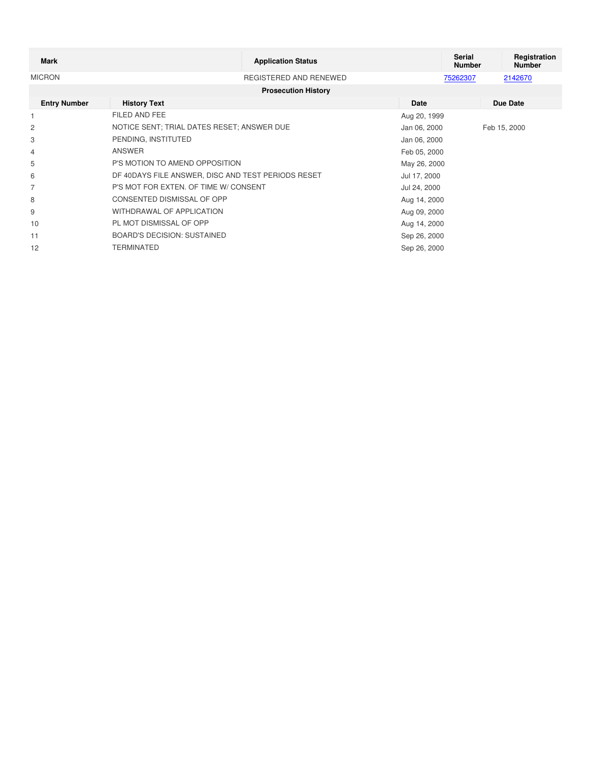| <b>Mark</b>         | <b>Application Status</b>                          |              | Serial<br><b>Number</b> | Registration<br><b>Number</b> |
|---------------------|----------------------------------------------------|--------------|-------------------------|-------------------------------|
| <b>MICRON</b>       | REGISTERED AND RENEWED                             |              | 75262307                | 2142670                       |
|                     | <b>Prosecution History</b>                         |              |                         |                               |
| <b>Entry Number</b> | <b>History Text</b>                                | Date         |                         | Due Date                      |
|                     | FILED AND FEE                                      | Aug 20, 1999 |                         |                               |
| $\overline{c}$      | NOTICE SENT: TRIAL DATES RESET: ANSWER DUE         | Jan 06, 2000 |                         | Feb 15, 2000                  |
| 3                   | PENDING, INSTITUTED                                | Jan 06, 2000 |                         |                               |
| 4                   | ANSWER                                             | Feb 05, 2000 |                         |                               |
| 5                   | P'S MOTION TO AMEND OPPOSITION                     | May 26, 2000 |                         |                               |
| 6                   | DF 40DAYS FILE ANSWER, DISC AND TEST PERIODS RESET | Jul 17, 2000 |                         |                               |
| 7                   | P'S MOT FOR EXTEN. OF TIME W/ CONSENT              | Jul 24, 2000 |                         |                               |
| 8                   | CONSENTED DISMISSAL OF OPP                         | Aug 14, 2000 |                         |                               |
| 9                   | WITHDRAWAL OF APPLICATION                          | Aug 09, 2000 |                         |                               |
| 10                  | PL MOT DISMISSAL OF OPP                            | Aug 14, 2000 |                         |                               |
| 11                  | <b>BOARD'S DECISION: SUSTAINED</b>                 | Sep 26, 2000 |                         |                               |
| 12                  | TERMINATED                                         | Sep 26, 2000 |                         |                               |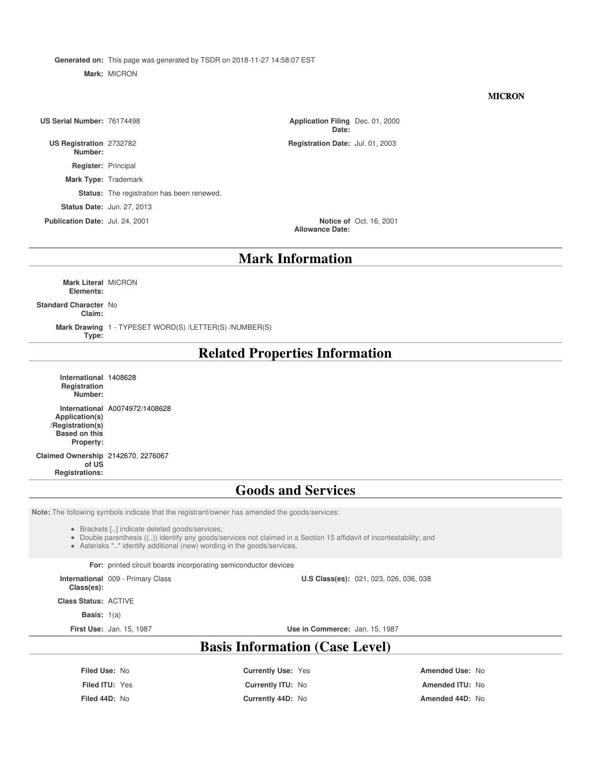**Generated on:** This page was generated by TSDR on 2018-11-27 14:58:07 EST

**Mark:** MICRON

#### **MICRON**

**US Serial Number: 76174498** 

**US Registration Number:**

**Register:** Principal

**Mark Type:** Trademark

**Status:** The registration has been renewed.

**Status Date:** Jun. 27, 2013

**Publication Date:** Jul. 24, 2001

**Date:** Application Filing Dec. 01, 2000

Registration Date: Jul. 01, 2003

**Allowance Date:** Notice of Oct. 16, 2001

#### **Mark Information**

**Mark Literal** MICRON **Elements:**

#### **Standard Character** No

**Claim:**

**Mark Drawing** 1 - TYPESET WORD(S) /LETTER(S) /NUMBER(S) **Type:**

## **Related Properties Information**

**International** 1408628 **Registration Number: International** A0074972/1408628

#### **Application(s) /Registration(s) Based on this Property:**

#### **Claimed Ownership** 2142670, 2276067

**of US Registrations:**

### **Goods and Services**

**Note:** The following symbols indicate that the registrant/owner has amended the goods/services:

Brackets [..] indicate deleted goods/services;

Double parenthesis ((..)) identify any goods/services not claimed in a Section 15 affidavit of incontestability; and

Asterisks \*..\* identify additional (new) wording in the goods/services.

**For:** printed circuit boards incorporating semiconductor devices

**International** 009 - Primary Class **U.S Class(es):** 021, 023, 026, 036, 038

**Class(es):**

**Class Status:** ACTIVE

**Basis:** 1(a)

**First Use:** Jan. 15, 1987 **Use in Commerce:** Jan. 15, 1987

# **Basis Information (Case Level)**

**Filed Use:** No **Currently Use:** Yes **Amended Use:** No

**Filed ITU:** Yes **Currently ITU:** No **Amended ITU:** No **Filed 44D:** No **Currently 44D:** No **Amended 44D:** No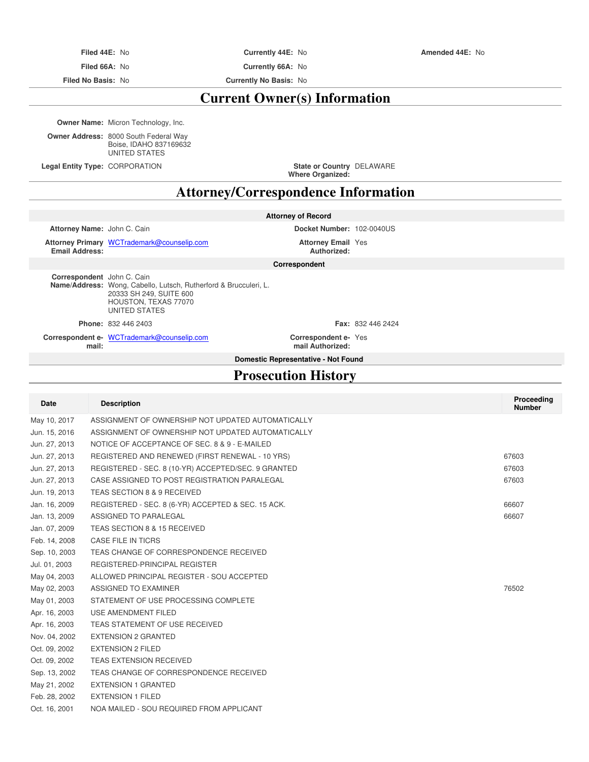**Filed 66A:** No **Currently 66A:** No

**Filed No Basis:** No **Currently No Basis:** No

# **Current Owner(s) Information**

**Owner Name:** Micron Technology, Inc.

**Owner Address:** 8000 South Federal Way Boise, IDAHO 837169632 UNITED STATES

**Legal Entity Type: CORPORATION** 

**Where Organized:** DELAWARE

# **Attorney/Correspondence Information**

|                             |                                                                                                                                             | <b>Attorney of Record</b>                |                          |                             |
|-----------------------------|---------------------------------------------------------------------------------------------------------------------------------------------|------------------------------------------|--------------------------|-----------------------------|
| Attorney Name: John C. Cain |                                                                                                                                             | Docket Number: 102-0040US                |                          |                             |
| <b>Email Address:</b>       | Attorney Primary WCTrademark@counselip.com                                                                                                  | <b>Attorney Email Yes</b><br>Authorized: |                          |                             |
|                             |                                                                                                                                             | Correspondent                            |                          |                             |
| Correspondent John C. Cain  | Name/Address: Wong, Cabello, Lutsch, Rutherford & Brucculeri, L.<br>20333 SH 249, SUITE 600<br>HOUSTON, TEXAS 77070<br><b>UNITED STATES</b> |                                          |                          |                             |
|                             | <b>Phone: 832 446 2403</b>                                                                                                                  |                                          | <b>Fax: 832 446 2424</b> |                             |
| mail:                       | Correspondent e- WCTrademark@counselip.com                                                                                                  | Correspondent e-Yes<br>mail Authorized:  |                          |                             |
|                             |                                                                                                                                             | Domestic Representative - Not Found      |                          |                             |
| <b>Prosecution History</b>  |                                                                                                                                             |                                          |                          |                             |
|                             |                                                                                                                                             |                                          |                          |                             |
| <b>Date</b>                 | <b>Description</b>                                                                                                                          |                                          |                          | Proceeding<br><b>Number</b> |

| υαισ          | <b>DESCRIPTION</b>                                  | <b>Numbe</b> |
|---------------|-----------------------------------------------------|--------------|
| May 10, 2017  | ASSIGNMENT OF OWNERSHIP NOT UPDATED AUTOMATICALLY   |              |
| Jun. 15, 2016 | ASSIGNMENT OF OWNERSHIP NOT UPDATED AUTOMATICALLY   |              |
| Jun. 27, 2013 | NOTICE OF ACCEPTANCE OF SEC. 8 & 9 - E-MAILED       |              |
| Jun. 27, 2013 | REGISTERED AND RENEWED (FIRST RENEWAL - 10 YRS)     | 67603        |
| Jun. 27, 2013 | REGISTERED - SEC. 8 (10-YR) ACCEPTED/SEC. 9 GRANTED | 67603        |
| Jun. 27, 2013 | CASE ASSIGNED TO POST REGISTRATION PARALEGAL        | 67603        |
| Jun. 19, 2013 | TEAS SECTION 8 & 9 RECEIVED                         |              |
| Jan. 16, 2009 | REGISTERED - SEC. 8 (6-YR) ACCEPTED & SEC. 15 ACK.  | 66607        |
| Jan. 13, 2009 | ASSIGNED TO PARALEGAL                               | 66607        |
| Jan. 07, 2009 | TEAS SECTION 8 & 15 RECEIVED                        |              |
| Feb. 14, 2008 | CASE FILE IN TICRS                                  |              |
| Sep. 10, 2003 | TEAS CHANGE OF CORRESPONDENCE RECEIVED              |              |
| Jul. 01, 2003 | REGISTERED-PRINCIPAL REGISTER                       |              |
| May 04, 2003  | ALLOWED PRINCIPAL REGISTER - SOU ACCEPTED           |              |
| May 02, 2003  | ASSIGNED TO EXAMINER                                | 76502        |
| May 01, 2003  | STATEMENT OF USE PROCESSING COMPLETE                |              |
| Apr. 16, 2003 | USE AMENDMENT FILED                                 |              |
| Apr. 16, 2003 | TEAS STATEMENT OF USE RECEIVED                      |              |
| Nov. 04, 2002 | <b>EXTENSION 2 GRANTED</b>                          |              |
| Oct. 09, 2002 | <b>EXTENSION 2 FILED</b>                            |              |
| Oct. 09, 2002 | <b>TEAS EXTENSION RECEIVED</b>                      |              |
| Sep. 13, 2002 | TEAS CHANGE OF CORRESPONDENCE RECEIVED              |              |
| May 21, 2002  | <b>EXTENSION 1 GRANTED</b>                          |              |
| Feb. 28, 2002 | <b>EXTENSION 1 FILED</b>                            |              |
| Oct. 16, 2001 | NOA MAILED - SOU REQUIRED FROM APPLICANT            |              |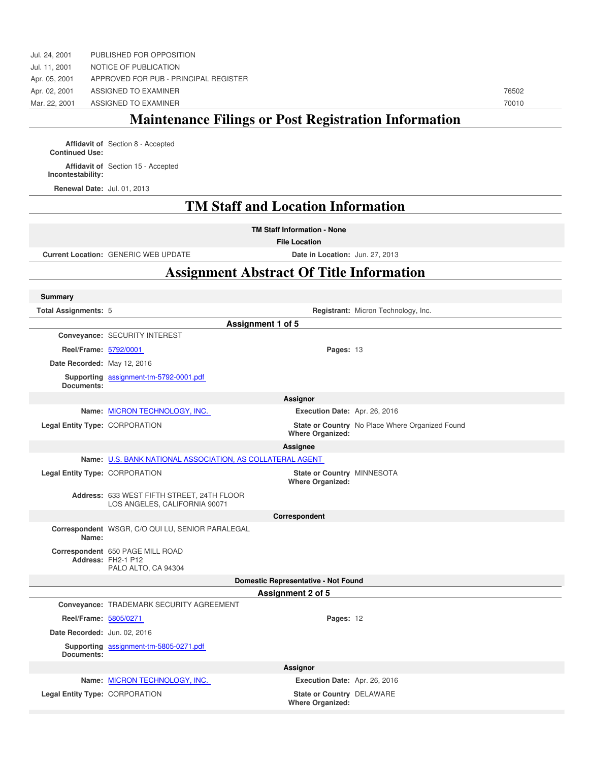# **Maintenance Filings or Post Registration Information**

**Affidavit of** Section 8 - Accepted **Continued Use: Affidavit of** Section 15 - Accepted **Incontestability:**

**Renewal Date:** Jul. 01, 2013

# **TM Staff and Location Information**

**TM Staff Information - None**

**File Location**

**Current Location:** GENERIC WEB UPDATE **Date in Location:** Jun. 27, 2013

### **Assignment Abstract Of Title Information**

| <b>Summary</b>                 |                                                                               |                                                       |                                                 |
|--------------------------------|-------------------------------------------------------------------------------|-------------------------------------------------------|-------------------------------------------------|
| <b>Total Assignments: 5</b>    |                                                                               |                                                       | Registrant: Micron Technology, Inc.             |
|                                |                                                                               | Assignment 1 of 5                                     |                                                 |
|                                | Conveyance: SECURITY INTEREST                                                 |                                                       |                                                 |
| Reel/Frame: 5792/0001          |                                                                               | Pages: 13                                             |                                                 |
| Date Recorded: May 12, 2016    |                                                                               |                                                       |                                                 |
| Documents:                     | Supporting assignment-tm-5792-0001.pdf                                        |                                                       |                                                 |
|                                |                                                                               | <b>Assignor</b>                                       |                                                 |
|                                | Name: MICRON TECHNOLOGY, INC.                                                 | Execution Date: Apr. 26, 2016                         |                                                 |
| Legal Entity Type: CORPORATION |                                                                               | <b>Where Organized:</b>                               | State or Country No Place Where Organized Found |
|                                |                                                                               | Assignee                                              |                                                 |
|                                | Name: U.S. BANK NATIONAL ASSOCIATION, AS COLLATERAL AGENT                     |                                                       |                                                 |
| Legal Entity Type: CORPORATION |                                                                               | State or Country MINNESOTA<br><b>Where Organized:</b> |                                                 |
|                                | Address: 633 WEST FIFTH STREET, 24TH FLOOR<br>LOS ANGELES, CALIFORNIA 90071   |                                                       |                                                 |
|                                |                                                                               | Correspondent                                         |                                                 |
| Name:                          | Correspondent WSGR, C/O QUI LU, SENIOR PARALEGAL                              |                                                       |                                                 |
|                                | Correspondent 650 PAGE MILL ROAD<br>Address: FH2-1 P12<br>PALO ALTO, CA 94304 |                                                       |                                                 |
|                                |                                                                               | Domestic Representative - Not Found                   |                                                 |
|                                |                                                                               | <b>Assignment 2 of 5</b>                              |                                                 |
|                                | Conveyance: TRADEMARK SECURITY AGREEMENT                                      |                                                       |                                                 |
| Reel/Frame: 5805/0271          |                                                                               | Pages: 12                                             |                                                 |
| Date Recorded: Jun. 02, 2016   |                                                                               |                                                       |                                                 |
| Documents:                     | Supporting assignment-tm-5805-0271.pdf                                        |                                                       |                                                 |
|                                |                                                                               | Assignor                                              |                                                 |
|                                | Name: MICRON TECHNOLOGY, INC.                                                 | Execution Date: Apr. 26, 2016                         |                                                 |
| Legal Entity Type: CORPORATION |                                                                               | State or Country DELAWARE<br><b>Where Organized:</b>  |                                                 |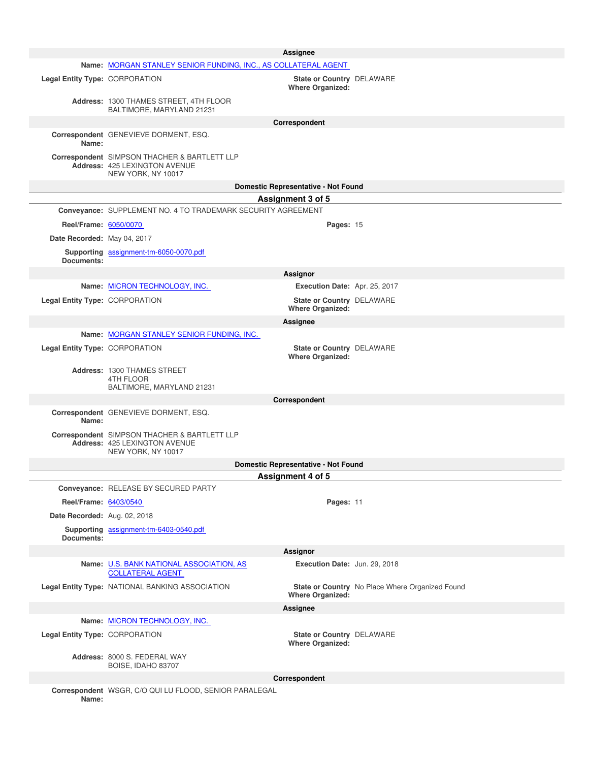|                                |                                                                                                     | <b>Assignee</b>                                             |                                                 |
|--------------------------------|-----------------------------------------------------------------------------------------------------|-------------------------------------------------------------|-------------------------------------------------|
|                                | Name: MORGAN STANLEY SENIOR FUNDING, INC., AS COLLATERAL AGENT                                      |                                                             |                                                 |
| Legal Entity Type: CORPORATION |                                                                                                     | State or Country DELAWARE<br><b>Where Organized:</b>        |                                                 |
|                                | Address: 1300 THAMES STREET, 4TH FLOOR<br>BALTIMORE, MARYLAND 21231                                 |                                                             |                                                 |
|                                |                                                                                                     | Correspondent                                               |                                                 |
| Name:                          | Correspondent GENEVIEVE DORMENT, ESQ.                                                               |                                                             |                                                 |
|                                | Correspondent SIMPSON THACHER & BARTLETT LLP<br>Address: 425 LEXINGTON AVENUE<br>NEW YORK, NY 10017 |                                                             |                                                 |
|                                |                                                                                                     | Domestic Representative - Not Found                         |                                                 |
|                                |                                                                                                     | Assignment 3 of 5                                           |                                                 |
|                                | Conveyance: SUPPLEMENT NO. 4 TO TRADEMARK SECURITY AGREEMENT                                        |                                                             |                                                 |
| Reel/Frame: 6050/0070          |                                                                                                     | Pages: 15                                                   |                                                 |
| Date Recorded: May 04, 2017    |                                                                                                     |                                                             |                                                 |
| Documents:                     | Supporting assignment-tm-6050-0070.pdf                                                              |                                                             |                                                 |
|                                |                                                                                                     | Assignor                                                    |                                                 |
|                                | Name: MICRON TECHNOLOGY, INC.                                                                       | Execution Date: Apr. 25, 2017                               |                                                 |
| Legal Entity Type: CORPORATION |                                                                                                     | State or Country DELAWARE<br><b>Where Organized:</b>        |                                                 |
|                                |                                                                                                     | Assignee                                                    |                                                 |
|                                | Name: MORGAN STANLEY SENIOR FUNDING, INC.                                                           |                                                             |                                                 |
| Legal Entity Type: CORPORATION |                                                                                                     | State or Country DELAWARE<br><b>Where Organized:</b>        |                                                 |
|                                | Address: 1300 THAMES STREET                                                                         |                                                             |                                                 |
|                                | 4TH FLOOR<br>BALTIMORE, MARYLAND 21231                                                              |                                                             |                                                 |
|                                |                                                                                                     | Correspondent                                               |                                                 |
| Name:                          | Correspondent GENEVIEVE DORMENT, ESQ.                                                               |                                                             |                                                 |
|                                | Correspondent SIMPSON THACHER & BARTLETT LLP<br>Address: 425 LEXINGTON AVENUE<br>NEW YORK, NY 10017 |                                                             |                                                 |
|                                |                                                                                                     | Domestic Representative - Not Found                         |                                                 |
|                                |                                                                                                     | Assignment 4 of 5                                           |                                                 |
|                                | Conveyance: RELEASE BY SECURED PARTY                                                                |                                                             |                                                 |
| Reel/Frame: 6403/0540          |                                                                                                     | Pages: 11                                                   |                                                 |
| Date Recorded: Aug. 02, 2018   |                                                                                                     |                                                             |                                                 |
| Documents:                     | Supporting assignment-tm-6403-0540.pdf                                                              |                                                             |                                                 |
|                                |                                                                                                     | Assignor                                                    |                                                 |
|                                | Name: U.S. BANK NATIONAL ASSOCIATION, AS<br><b>COLLATERAL AGENT</b>                                 | Execution Date: Jun. 29, 2018                               |                                                 |
|                                | Legal Entity Type: NATIONAL BANKING ASSOCIATION                                                     | <b>Where Organized:</b>                                     | State or Country No Place Where Organized Found |
|                                |                                                                                                     | Assignee                                                    |                                                 |
|                                | Name: MICRON TECHNOLOGY, INC.                                                                       |                                                             |                                                 |
| Legal Entity Type: CORPORATION |                                                                                                     | <b>State or Country DELAWARE</b><br><b>Where Organized:</b> |                                                 |
|                                | Address: 8000 S. FEDERAL WAY<br>BOISE, IDAHO 83707                                                  |                                                             |                                                 |
|                                |                                                                                                     | Correspondent                                               |                                                 |
| Name:                          | Correspondent WSGR, C/O QUI LU FLOOD, SENIOR PARALEGAL                                              |                                                             |                                                 |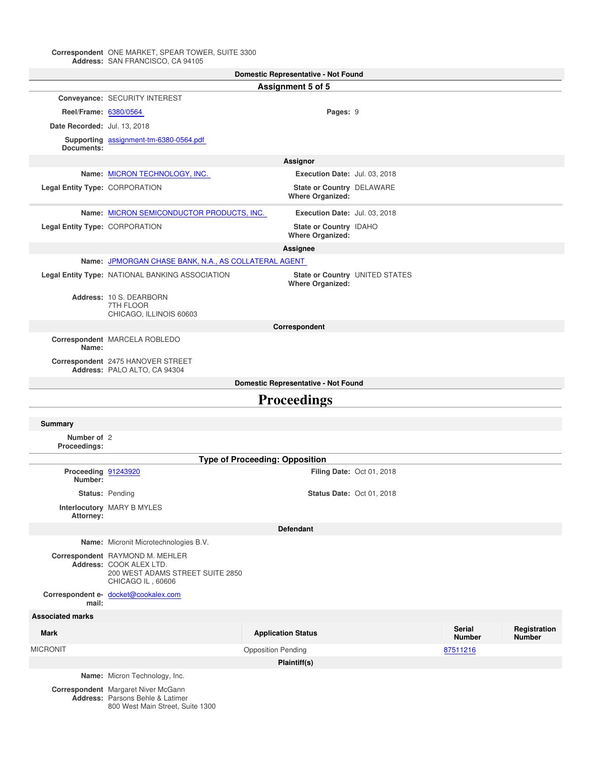#### **Correspondent Address:** ONE MARKET, SPEAR TOWER, SUITE 3300 SAN FRANCISCO, CA 94105

| <b>Domestic Representative - Not Found</b> |                                                                                                                     |                                                      |                                |                                |                               |
|--------------------------------------------|---------------------------------------------------------------------------------------------------------------------|------------------------------------------------------|--------------------------------|--------------------------------|-------------------------------|
|                                            |                                                                                                                     | Assignment 5 of 5                                    |                                |                                |                               |
|                                            | Conveyance: SECURITY INTEREST                                                                                       |                                                      |                                |                                |                               |
| Reel/Frame: 6380/0564                      |                                                                                                                     | Pages: 9                                             |                                |                                |                               |
| Date Recorded: Jul. 13, 2018               |                                                                                                                     |                                                      |                                |                                |                               |
|                                            | Supporting assignment-tm-6380-0564.pdf                                                                              |                                                      |                                |                                |                               |
| Documents:                                 |                                                                                                                     |                                                      |                                |                                |                               |
|                                            |                                                                                                                     | Assignor                                             |                                |                                |                               |
|                                            | Name: MICRON TECHNOLOGY, INC.                                                                                       | Execution Date: Jul. 03, 2018                        |                                |                                |                               |
| Legal Entity Type: CORPORATION             |                                                                                                                     | State or Country DELAWARE<br><b>Where Organized:</b> |                                |                                |                               |
|                                            | Name: MICRON SEMICONDUCTOR PRODUCTS, INC.                                                                           | Execution Date: Jul. 03, 2018                        |                                |                                |                               |
| Legal Entity Type: CORPORATION             |                                                                                                                     | State or Country IDAHO<br><b>Where Organized:</b>    |                                |                                |                               |
|                                            |                                                                                                                     | Assignee                                             |                                |                                |                               |
|                                            | Name: JPMORGAN CHASE BANK, N.A., AS COLLATERAL AGENT                                                                |                                                      |                                |                                |                               |
|                                            | Legal Entity Type: NATIONAL BANKING ASSOCIATION                                                                     | <b>Where Organized:</b>                              | State or Country UNITED STATES |                                |                               |
|                                            | Address: 10 S. DEARBORN<br>7TH FLOOR                                                                                |                                                      |                                |                                |                               |
|                                            | CHICAGO, ILLINOIS 60603                                                                                             |                                                      |                                |                                |                               |
|                                            |                                                                                                                     | Correspondent                                        |                                |                                |                               |
| Name:                                      | Correspondent MARCELA ROBLEDO                                                                                       |                                                      |                                |                                |                               |
|                                            | Correspondent 2475 HANOVER STREET<br>Address: PALO ALTO, CA 94304                                                   |                                                      |                                |                                |                               |
|                                            |                                                                                                                     | Domestic Representative - Not Found                  |                                |                                |                               |
|                                            |                                                                                                                     | <b>Proceedings</b>                                   |                                |                                |                               |
| <b>Summary</b>                             |                                                                                                                     |                                                      |                                |                                |                               |
| Number of 2<br>Proceedings:                |                                                                                                                     |                                                      |                                |                                |                               |
|                                            |                                                                                                                     | <b>Type of Proceeding: Opposition</b>                |                                |                                |                               |
| Proceeding 91243920                        |                                                                                                                     |                                                      | Filing Date: Oct 01, 2018      |                                |                               |
| Number:                                    |                                                                                                                     |                                                      |                                |                                |                               |
|                                            | Status: Pending                                                                                                     | <b>Status Date: Oct 01, 2018</b>                     |                                |                                |                               |
| Attorney:                                  | Interlocutory MARY B MYLES                                                                                          |                                                      |                                |                                |                               |
|                                            |                                                                                                                     | <b>Defendant</b>                                     |                                |                                |                               |
|                                            | Name: Micronit Microtechnologies B.V.                                                                               |                                                      |                                |                                |                               |
|                                            | Correspondent RAYMOND M. MEHLER<br>Address: COOK ALEX LTD.<br>200 WEST ADAMS STREET SUITE 2850<br>CHICAGO IL, 60606 |                                                      |                                |                                |                               |
| mail:                                      | Correspondent e- docket@cookalex.com                                                                                |                                                      |                                |                                |                               |
| <b>Associated marks</b>                    |                                                                                                                     |                                                      |                                |                                |                               |
| <b>Mark</b>                                |                                                                                                                     | <b>Application Status</b>                            |                                | <b>Serial</b><br><b>Number</b> | Registration<br><b>Number</b> |
| <b>MICRONIT</b>                            |                                                                                                                     | <b>Opposition Pending</b>                            |                                | 87511216                       |                               |
|                                            |                                                                                                                     | Plaintiff(s)                                         |                                |                                |                               |
|                                            | Name: Micron Technology, Inc.                                                                                       |                                                      |                                |                                |                               |
|                                            | Correspondent Margaret Niver McGann                                                                                 |                                                      |                                |                                |                               |

**Correspondent Address:** Margaret Niver McGann Parsons Behle & Latimer 800 West Main Street, Suite 1300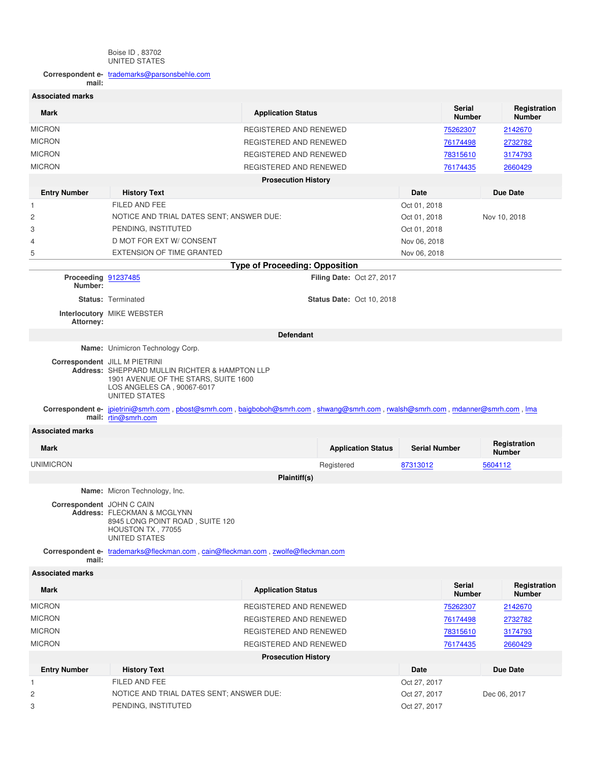#### Boise ID , 83702 UNITED STATES

**Correspondent email:** trademarks@parsonsbehle.com

| <b>Associated marks</b>        |                                                                                                                                                                        |                                       |                                  |                              |                                |                               |
|--------------------------------|------------------------------------------------------------------------------------------------------------------------------------------------------------------------|---------------------------------------|----------------------------------|------------------------------|--------------------------------|-------------------------------|
| <b>Mark</b>                    |                                                                                                                                                                        | <b>Application Status</b>             |                                  |                              | <b>Serial</b><br><b>Number</b> | Registration<br><b>Number</b> |
| <b>MICRON</b>                  | REGISTERED AND RENEWED                                                                                                                                                 |                                       |                                  |                              | 75262307                       | 2142670                       |
| <b>MICRON</b>                  | REGISTERED AND RENEWED                                                                                                                                                 |                                       |                                  |                              | 76174498                       | 2732782                       |
| <b>MICRON</b>                  | REGISTERED AND RENEWED                                                                                                                                                 |                                       |                                  |                              | 78315610                       | 3174793                       |
| <b>MICRON</b>                  | REGISTERED AND RENEWED                                                                                                                                                 |                                       |                                  |                              | 76174435                       | 2660429                       |
|                                |                                                                                                                                                                        | <b>Prosecution History</b>            |                                  |                              |                                |                               |
| <b>Entry Number</b>            | <b>History Text</b>                                                                                                                                                    |                                       |                                  | Date                         |                                | <b>Due Date</b>               |
| 1                              | FILED AND FEE                                                                                                                                                          |                                       |                                  | Oct 01, 2018                 |                                |                               |
| 2                              | NOTICE AND TRIAL DATES SENT; ANSWER DUE:                                                                                                                               |                                       |                                  | Nov 10, 2018<br>Oct 01, 2018 |                                |                               |
| 3                              | PENDING, INSTITUTED                                                                                                                                                    |                                       |                                  | Oct 01, 2018                 |                                |                               |
| 4                              | D MOT FOR EXT W/ CONSENT                                                                                                                                               |                                       |                                  | Nov 06, 2018                 |                                |                               |
| 5                              | <b>EXTENSION OF TIME GRANTED</b>                                                                                                                                       |                                       |                                  | Nov 06, 2018                 |                                |                               |
|                                |                                                                                                                                                                        | <b>Type of Proceeding: Opposition</b> |                                  |                              |                                |                               |
| Proceeding 91237485<br>Number: |                                                                                                                                                                        |                                       | <b>Filing Date: Oct 27, 2017</b> |                              |                                |                               |
|                                | <b>Status: Terminated</b>                                                                                                                                              |                                       | <b>Status Date: Oct 10, 2018</b> |                              |                                |                               |
| Attorney:                      | Interlocutory MIKE WEBSTER                                                                                                                                             |                                       |                                  |                              |                                |                               |
|                                |                                                                                                                                                                        | <b>Defendant</b>                      |                                  |                              |                                |                               |
|                                | Name: Unimicron Technology Corp.                                                                                                                                       |                                       |                                  |                              |                                |                               |
|                                | Correspondent JILL M PIETRINI<br>Address: SHEPPARD MULLIN RICHTER & HAMPTON LLP<br>1901 AVENUE OF THE STARS, SUITE 1600<br>LOS ANGELES CA, 90067-6017<br>UNITED STATES |                                       |                                  |                              |                                |                               |
|                                | Correspondent e- jpietrini@smrh.com, pbost@smrh.com, baigboboh@smrh.com, shwang@smrh.com, rwalsh@smrh.com, mdanner@smrh.com, Ima<br>mail: rtin@smrh.com                |                                       |                                  |                              |                                |                               |
| <b>Associated marks</b>        |                                                                                                                                                                        |                                       |                                  |                              |                                |                               |
| Mark                           |                                                                                                                                                                        |                                       | <b>Application Status</b>        | <b>Serial Number</b>         |                                | Registration<br><b>Number</b> |
| <b>UNIMICRON</b>               |                                                                                                                                                                        |                                       | Registered                       | 87313012                     |                                | 5604112                       |
|                                |                                                                                                                                                                        | Plaintiff(s)                          |                                  |                              |                                |                               |
|                                | Name: Micron Technology, Inc.                                                                                                                                          |                                       |                                  |                              |                                |                               |
| Correspondent JOHN C CAIN      | Address: FLECKMAN & MCGLYNN<br>8945 LONG POINT ROAD, SUITE 120<br>HOUSTON TX, 77055<br>UNITED STATES                                                                   |                                       |                                  |                              |                                |                               |
| mail:                          | Correspondent e- trademarks@fleckman.com, cain@fleckman.com, zwolfe@fleckman.com                                                                                       |                                       |                                  |                              |                                |                               |
| <b>Associated marks</b>        |                                                                                                                                                                        |                                       |                                  |                              |                                |                               |
| Mark                           |                                                                                                                                                                        | <b>Application Status</b>             |                                  |                              | <b>Serial</b><br><b>Number</b> | Registration<br><b>Number</b> |
| <b>MICRON</b>                  |                                                                                                                                                                        | REGISTERED AND RENEWED                |                                  |                              | 75262307                       | 2142670                       |
| <b>MICRON</b>                  |                                                                                                                                                                        | REGISTERED AND RENEWED                |                                  |                              | 76174498                       | 2732782                       |
| <b>MICRON</b>                  | REGISTERED AND RENEWED<br>78315610<br>3174793                                                                                                                          |                                       |                                  |                              |                                |                               |
| <b>MICRON</b>                  | REGISTERED AND RENEWED<br>76174435                                                                                                                                     |                                       |                                  | 2660429                      |                                |                               |
|                                |                                                                                                                                                                        | <b>Prosecution History</b>            |                                  |                              |                                |                               |
| <b>Entry Number</b>            | <b>History Text</b>                                                                                                                                                    |                                       |                                  | Date                         |                                | <b>Due Date</b>               |
| 1                              | FILED AND FEE                                                                                                                                                          |                                       |                                  | Oct 27, 2017                 |                                |                               |
| 2                              | NOTICE AND TRIAL DATES SENT; ANSWER DUE:                                                                                                                               |                                       |                                  | Oct 27, 2017                 |                                | Dec 06, 2017                  |
| 3                              | PENDING, INSTITUTED                                                                                                                                                    |                                       |                                  | Oct 27, 2017                 |                                |                               |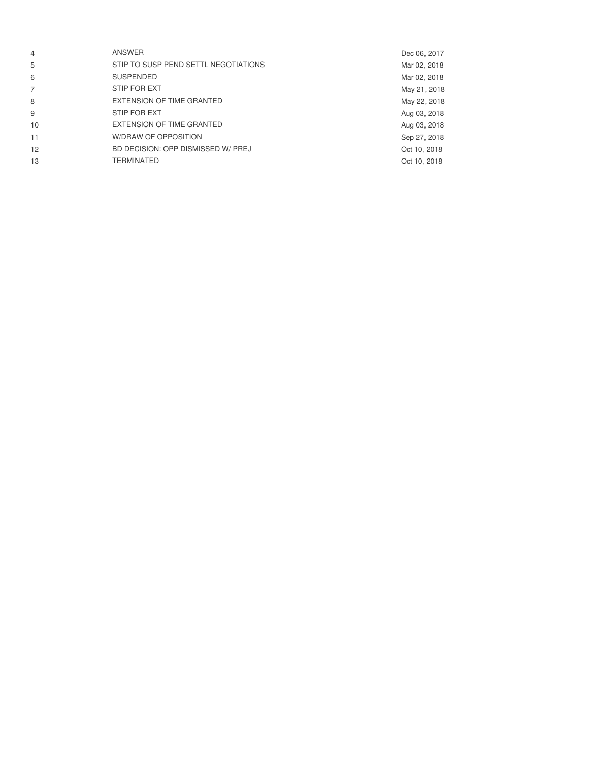| $\overline{4}$ | ANSWER                               | Dec 06, 2017 |
|----------------|--------------------------------------|--------------|
| 5              | STIP TO SUSP PEND SETTL NEGOTIATIONS | Mar 02, 2018 |
| 6              | <b>SUSPENDED</b>                     | Mar 02, 2018 |
| $\overline{7}$ | STIP FOR EXT                         | May 21, 2018 |
| 8              | EXTENSION OF TIME GRANTED            | May 22, 2018 |
| 9              | STIP FOR EXT                         | Aug 03, 2018 |
| 10             | EXTENSION OF TIME GRANTED            | Aug 03, 2018 |
| 11             | W/DRAW OF OPPOSITION                 | Sep 27, 2018 |
| 12             | BD DECISION: OPP DISMISSED W/ PREJ   | Oct 10, 2018 |
| 13             | TERMINATED                           | Oct 10, 2018 |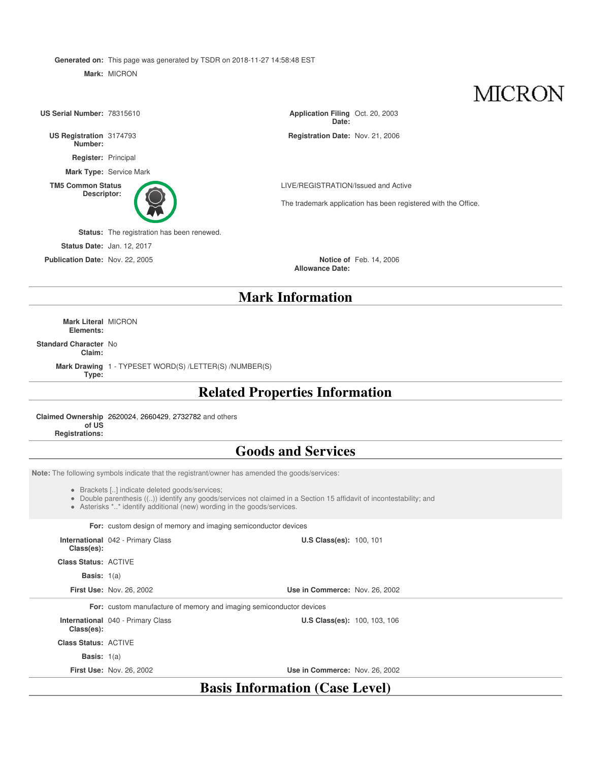**Generated on:** This page was generated by TSDR on 2018-11-27 14:58:48 EST

**Mark:** MICRON

**MICRON** 

**Mark Information Mark Literal** MICRON **Elements: Standard Character** No **Claim: US Serial Number: 78315610 Date:** Application Filing Oct. 20, 2003 **US Registration Number:** Registration Date: Nov. 21, 2006 **Register:** Principal **Mark Type:** Service Mark **TM5 Common Status Descriptor:** LIVE/REGISTRATION/Issued and Active The trademark application has been registered with the Office. **Status:** The registration has been renewed. **Status Date:** Jan. 12, 2017 **Publication Date:** Nov. 22, 2005 **Allowance Date:** Notice of Feb. 14, 2006

**Mark Drawing** 1 - TYPESET WORD(S) /LETTER(S) /NUMBER(S) **Type:**

# **Related Properties Information**

**Claimed Ownership** 2620024, 2660429, 2732782 and others **of US Registrations:**

# **Goods and Services**

**Note:** The following symbols indicate that the registrant/owner has amended the goods/services:

- Brackets [..] indicate deleted goods/services;
- Double parenthesis ((..)) identify any goods/services not claimed in a Section 15 affidavit of incontestability; and
- Asterisks \*..\* identify additional (new) wording in the goods/services.

**For:** custom design of memory and imaging semiconductor devices

| Class(es):                  | <b>International</b> 042 - Primary Class                            | <b>U.S Class(es): 100, 101</b>        |
|-----------------------------|---------------------------------------------------------------------|---------------------------------------|
| <b>Class Status: ACTIVE</b> |                                                                     |                                       |
| <b>Basis:</b> $1(a)$        |                                                                     |                                       |
|                             | <b>First Use: Nov. 26, 2002</b>                                     | Use in Commerce: Nov. 26, 2002        |
|                             | For: custom manufacture of memory and imaging semiconductor devices |                                       |
| Class(es):                  | <b>International</b> 040 - Primary Class                            | <b>U.S Class(es): 100, 103, 106</b>   |
| <b>Class Status: ACTIVE</b> |                                                                     |                                       |
| <b>Basis:</b> $1(a)$        |                                                                     |                                       |
|                             | <b>First Use: Nov. 26, 2002</b>                                     | Use in Commerce: Nov. 26, 2002        |
|                             |                                                                     | <b>Basis Information (Case Level)</b> |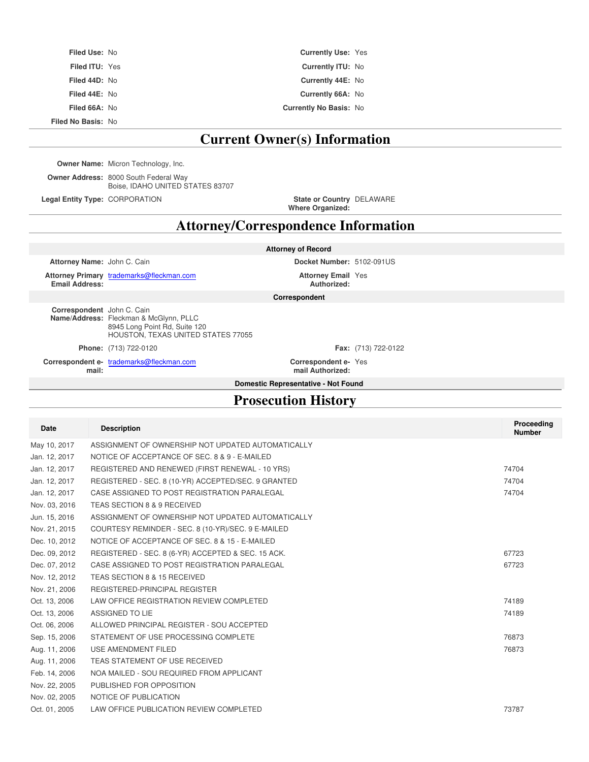| <b>Filed Use: No</b>      | <b>Currently Use: Yes</b>     |  |
|---------------------------|-------------------------------|--|
| <b>Filed ITU: Yes</b>     | <b>Currently ITU: No</b>      |  |
| Filed 44D: No             | Currently 44E: No             |  |
| Filed 44E: No             | Currently 66A: No             |  |
| Filed 66A: No             | <b>Currently No Basis: No</b> |  |
| <b>Filed No Basis: No</b> |                               |  |

# **Current Owner(s) Information**

**Owner Name:** Micron Technology, Inc.

**Owner Address:** 8000 South Federal Way Boise, IDAHO UNITED STATES 83707

**Legal Entity Type: CORPORATION** 

**Where Organized:** DELAWARE

# **Attorney/Correspondence Information**

| <b>Attorney of Record</b>           |                                                                                                               |                                          |                           |  |  |
|-------------------------------------|---------------------------------------------------------------------------------------------------------------|------------------------------------------|---------------------------|--|--|
| Attorney Name: John C. Cain         |                                                                                                               |                                          | Docket Number: 5102-091US |  |  |
| <b>Email Address:</b>               | Attorney Primary trademarks@fleckman.com                                                                      | <b>Attorney Email Yes</b><br>Authorized: |                           |  |  |
|                                     | Correspondent                                                                                                 |                                          |                           |  |  |
| Correspondent John C. Cain          | Name/Address: Fleckman & McGlynn, PLLC<br>8945 Long Point Rd, Suite 120<br>HOUSTON. TEXAS UNITED STATES 77055 |                                          |                           |  |  |
|                                     | <b>Phone:</b> (713) 722-0120                                                                                  |                                          | Fax: (713) 722-0122       |  |  |
| mail:                               | Correspondent e- trademarks@fleckman.com                                                                      | Correspondent e-Yes<br>mail Authorized:  |                           |  |  |
| Domestic Representative - Not Found |                                                                                                               |                                          |                           |  |  |
| <b>Prosecution History</b>          |                                                                                                               |                                          |                           |  |  |

| Date          | <b>Description</b>                                  | Proceeding<br><b>Number</b> |
|---------------|-----------------------------------------------------|-----------------------------|
| May 10, 2017  | ASSIGNMENT OF OWNERSHIP NOT UPDATED AUTOMATICALLY   |                             |
| Jan. 12, 2017 | NOTICE OF ACCEPTANCE OF SEC. 8 & 9 - E-MAILED       |                             |
| Jan. 12, 2017 | REGISTERED AND RENEWED (FIRST RENEWAL - 10 YRS)     | 74704                       |
| Jan. 12, 2017 | REGISTERED - SEC. 8 (10-YR) ACCEPTED/SEC. 9 GRANTED | 74704                       |
| Jan. 12, 2017 | CASE ASSIGNED TO POST REGISTRATION PARALEGAL        | 74704                       |
| Nov. 03, 2016 | TEAS SECTION 8 & 9 RECEIVED                         |                             |
| Jun. 15, 2016 | ASSIGNMENT OF OWNERSHIP NOT UPDATED AUTOMATICALLY   |                             |
| Nov. 21, 2015 | COURTESY REMINDER - SEC. 8 (10-YR)/SEC. 9 E-MAILED  |                             |
| Dec. 10, 2012 | NOTICE OF ACCEPTANCE OF SEC. 8 & 15 - E-MAILED      |                             |
| Dec. 09, 2012 | REGISTERED - SEC. 8 (6-YR) ACCEPTED & SEC. 15 ACK.  | 67723                       |
| Dec. 07, 2012 | CASE ASSIGNED TO POST REGISTRATION PARALEGAL        | 67723                       |
| Nov. 12, 2012 | TEAS SECTION 8 & 15 RECEIVED                        |                             |
| Nov. 21, 2006 | REGISTERED-PRINCIPAL REGISTER                       |                             |
| Oct. 13, 2006 | LAW OFFICE REGISTRATION REVIEW COMPLETED            | 74189                       |
| Oct. 13, 2006 | ASSIGNED TO LIE                                     | 74189                       |
| Oct. 06, 2006 | ALLOWED PRINCIPAL REGISTER - SOU ACCEPTED           |                             |
| Sep. 15, 2006 | STATEMENT OF USE PROCESSING COMPLETE                | 76873                       |
| Aug. 11, 2006 | USE AMENDMENT FILED                                 | 76873                       |
| Aug. 11, 2006 | TEAS STATEMENT OF USE RECEIVED                      |                             |
| Feb. 14, 2006 | NOA MAILED - SOU REQUIRED FROM APPLICANT            |                             |
| Nov. 22, 2005 | PUBLISHED FOR OPPOSITION                            |                             |
| Nov. 02, 2005 | NOTICE OF PUBLICATION                               |                             |
| Oct. 01, 2005 | LAW OFFICE PUBLICATION REVIEW COMPLETED             | 73787                       |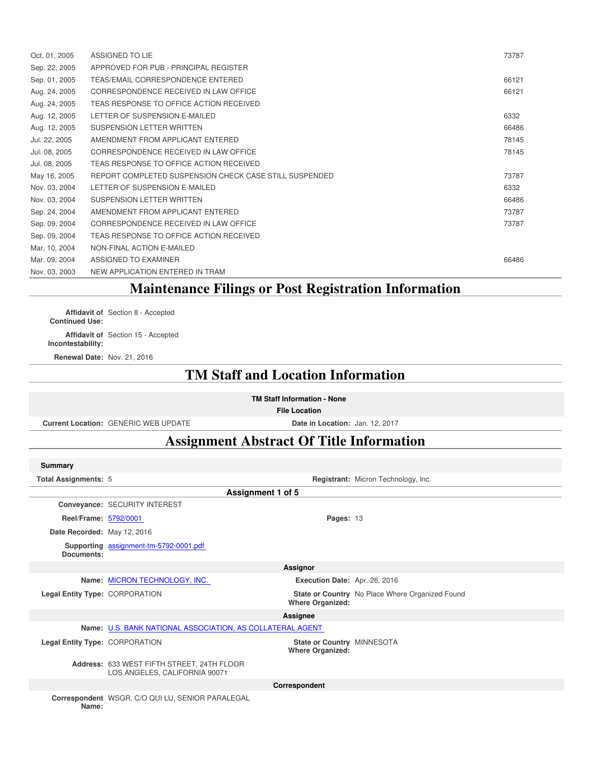| Oct. 01, 2005 | ASSIGNED TO LIE                                        | 73787 |
|---------------|--------------------------------------------------------|-------|
| Sep. 22, 2005 | APPROVED FOR PUB - PRINCIPAL REGISTER                  |       |
| Sep. 01, 2005 | TEAS/EMAIL CORRESPONDENCE ENTERED                      | 66121 |
| Aug. 24, 2005 | CORRESPONDENCE RECEIVED IN LAW OFFICE                  | 66121 |
| Aug. 24, 2005 | TEAS RESPONSE TO OFFICE ACTION RECEIVED                |       |
| Aug. 12, 2005 | LETTER OF SUSPENSION E-MAILED                          | 6332  |
| Aug. 12, 2005 | SUSPENSION LETTER WRITTEN                              | 66486 |
| Jul. 22, 2005 | AMENDMENT FROM APPLICANT ENTERED                       | 78145 |
| Jul. 08, 2005 | CORRESPONDENCE RECEIVED IN LAW OFFICE                  | 78145 |
| Jul. 08, 2005 | TEAS RESPONSE TO OFFICE ACTION RECEIVED                |       |
| May 16, 2005  | REPORT COMPLETED SUSPENSION CHECK CASE STILL SUSPENDED | 73787 |
| Nov. 03, 2004 | LETTER OF SUSPENSION E-MAILED                          | 6332  |
| Nov. 03, 2004 | SUSPENSION LETTER WRITTEN                              | 66486 |
| Sep. 24, 2004 | AMENDMENT FROM APPLICANT ENTERED                       | 73787 |
| Sep. 09, 2004 | CORRESPONDENCE RECEIVED IN LAW OFFICE                  | 73787 |
| Sep. 09, 2004 | TEAS RESPONSE TO OFFICE ACTION RECEIVED                |       |
| Mar. 10, 2004 | NON-FINAL ACTION E-MAILED                              |       |
| Mar. 09, 2004 | ASSIGNED TO EXAMINER                                   | 66486 |
| Nov. 03, 2003 | NEW APPLICATION ENTERED IN TRAM                        |       |

# **Maintenance Filings or Post Registration Information**

**Affidavit of** Section 8 - Accepted **Continued Use:**

**Affidavit of** Section 15 - Accepted **Incontestability:**

**Renewal Date:** Nov. 21, 2016

# **TM Staff and Location Information**

**TM Staff Information - None**

**File Location**

**Current Location:** GENERIC WEB UPDATE **Date in Location:** Jan. 12, 2017

# **Assignment Abstract Of Title Information**

| <b>Summary</b>                 |                                                                             |                                                       |                                                 |
|--------------------------------|-----------------------------------------------------------------------------|-------------------------------------------------------|-------------------------------------------------|
| <b>Total Assignments: 5</b>    |                                                                             |                                                       | Registrant: Micron Technology, Inc.             |
|                                |                                                                             | Assignment 1 of 5                                     |                                                 |
|                                | Conveyance: SECURITY INTEREST                                               |                                                       |                                                 |
| Reel/Frame: 5792/0001          |                                                                             | Pages: 13                                             |                                                 |
| Date Recorded: May 12, 2016    |                                                                             |                                                       |                                                 |
| Documents:                     | Supporting assignment-tm-5792-0001.pdf                                      |                                                       |                                                 |
|                                |                                                                             | Assignor                                              |                                                 |
|                                | Name: MICRON TECHNOLOGY, INC.                                               | Execution Date: Apr. 26, 2016                         |                                                 |
| Legal Entity Type: CORPORATION |                                                                             | <b>Where Organized:</b>                               | State or Country No Place Where Organized Found |
|                                |                                                                             | Assignee                                              |                                                 |
|                                | Name: U.S. BANK NATIONAL ASSOCIATION, AS COLLATERAL AGENT                   |                                                       |                                                 |
| Legal Entity Type: CORPORATION |                                                                             | State or Country MINNESOTA<br><b>Where Organized:</b> |                                                 |
|                                | Address: 633 WEST FIFTH STREET, 24TH FLOOR<br>LOS ANGELES, CALIFORNIA 90071 |                                                       |                                                 |
|                                |                                                                             | Correspondent                                         |                                                 |
| Name:                          | Correspondent WSGR, C/O QUI LU, SENIOR PARALEGAL                            |                                                       |                                                 |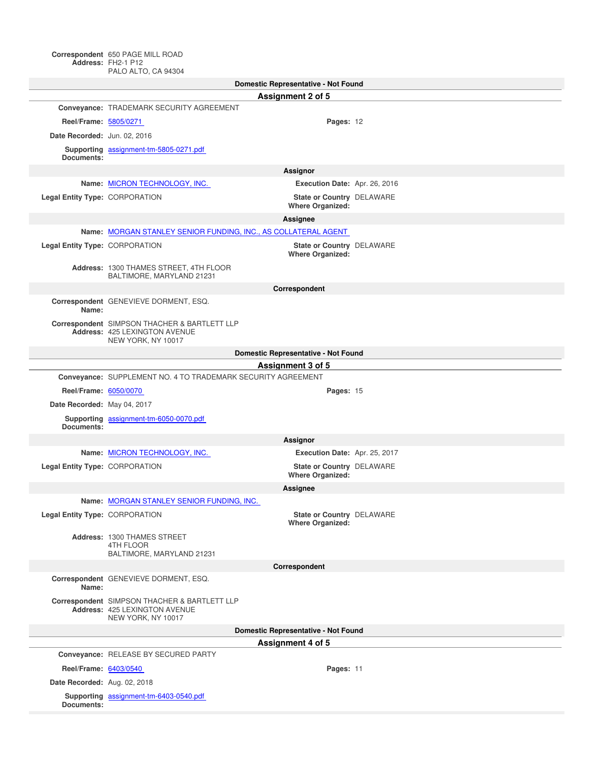PALO ALTO, CA 94304

| Domestic Representative - Not Found |                                                                                                     |                                                      |  |  |
|-------------------------------------|-----------------------------------------------------------------------------------------------------|------------------------------------------------------|--|--|
|                                     |                                                                                                     | <b>Assignment 2 of 5</b>                             |  |  |
|                                     | Conveyance: TRADEMARK SECURITY AGREEMENT                                                            |                                                      |  |  |
| Reel/Frame: 5805/0271               |                                                                                                     | Pages: 12                                            |  |  |
| Date Recorded: Jun. 02, 2016        |                                                                                                     |                                                      |  |  |
|                                     | Supporting assignment-tm-5805-0271.pdf                                                              |                                                      |  |  |
| Documents:                          |                                                                                                     |                                                      |  |  |
|                                     |                                                                                                     | Assignor                                             |  |  |
|                                     | Name: MICRON TECHNOLOGY, INC.                                                                       | Execution Date: Apr. 26, 2016                        |  |  |
| Legal Entity Type: CORPORATION      |                                                                                                     | State or Country DELAWARE<br><b>Where Organized:</b> |  |  |
|                                     |                                                                                                     | Assignee                                             |  |  |
|                                     | Name: MORGAN STANLEY SENIOR FUNDING, INC., AS COLLATERAL AGENT                                      |                                                      |  |  |
| Legal Entity Type: CORPORATION      |                                                                                                     | State or Country DELAWARE<br><b>Where Organized:</b> |  |  |
|                                     | Address: 1300 THAMES STREET, 4TH FLOOR<br>BALTIMORE, MARYLAND 21231                                 |                                                      |  |  |
|                                     |                                                                                                     | Correspondent                                        |  |  |
| Name:                               | Correspondent GENEVIEVE DORMENT, ESQ.                                                               |                                                      |  |  |
|                                     | Correspondent SIMPSON THACHER & BARTLETT LLP<br>Address: 425 LEXINGTON AVENUE<br>NEW YORK, NY 10017 |                                                      |  |  |
|                                     |                                                                                                     | Domestic Representative - Not Found                  |  |  |
|                                     |                                                                                                     | Assignment 3 of 5                                    |  |  |
|                                     | Conveyance: SUPPLEMENT NO. 4 TO TRADEMARK SECURITY AGREEMENT                                        |                                                      |  |  |
| Reel/Frame: 6050/0070               |                                                                                                     | Pages: 15                                            |  |  |
| Date Recorded: May 04, 2017         |                                                                                                     |                                                      |  |  |
| Documents:                          | Supporting assignment-tm-6050-0070.pdf                                                              |                                                      |  |  |
|                                     |                                                                                                     | Assignor                                             |  |  |
|                                     | Name: MICRON TECHNOLOGY, INC.                                                                       | Execution Date: Apr. 25, 2017                        |  |  |
| Legal Entity Type: CORPORATION      |                                                                                                     | State or Country DELAWARE<br><b>Where Organized:</b> |  |  |
|                                     |                                                                                                     | Assignee                                             |  |  |
|                                     | Name: MORGAN STANLEY SENIOR FUNDING, INC.                                                           |                                                      |  |  |
| Legal Entity Type: CORPORATION      |                                                                                                     | State or Country DELAWARE<br><b>Where Organized:</b> |  |  |
|                                     | Address: 1300 THAMES STREET<br>4TH FLOOR<br>BALTIMORE, MARYLAND 21231                               |                                                      |  |  |
|                                     |                                                                                                     | Correspondent                                        |  |  |
| Name:                               | Correspondent GENEVIEVE DORMENT, ESQ.                                                               |                                                      |  |  |
|                                     | Correspondent SIMPSON THACHER & BARTLETT LLP<br>Address: 425 LEXINGTON AVENUE<br>NEW YORK, NY 10017 |                                                      |  |  |
|                                     |                                                                                                     | Domestic Representative - Not Found                  |  |  |
|                                     |                                                                                                     | Assignment 4 of 5                                    |  |  |
|                                     | Conveyance: RELEASE BY SECURED PARTY                                                                |                                                      |  |  |
| Reel/Frame: 6403/0540               |                                                                                                     | Pages: 11                                            |  |  |
| Date Recorded: Aug. 02, 2018        |                                                                                                     |                                                      |  |  |
| Documents:                          | Supporting assignment-tm-6403-0540.pdf                                                              |                                                      |  |  |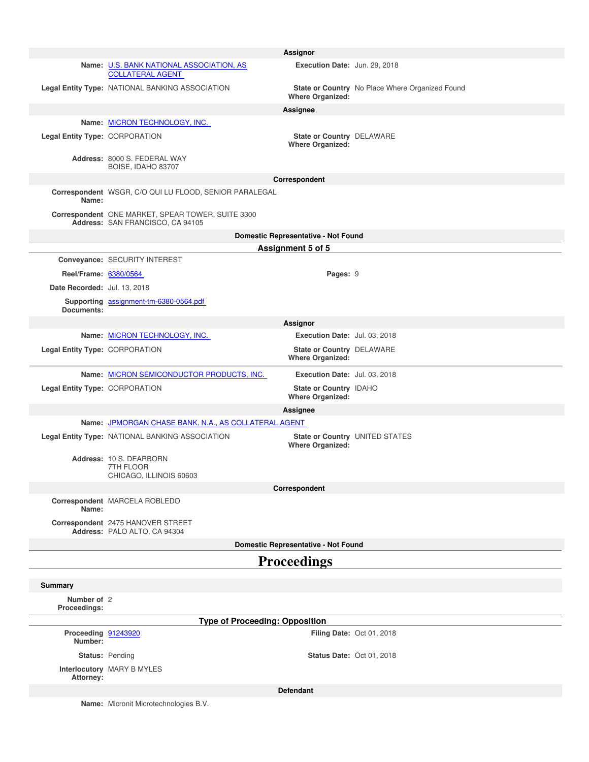|                                |                                                                                       | Assignor                                                    |                                                 |
|--------------------------------|---------------------------------------------------------------------------------------|-------------------------------------------------------------|-------------------------------------------------|
|                                | Name: U.S. BANK NATIONAL ASSOCIATION, AS<br><b>COLLATERAL AGENT</b>                   | Execution Date: Jun. 29, 2018                               |                                                 |
|                                | Legal Entity Type: NATIONAL BANKING ASSOCIATION                                       | <b>Where Organized:</b>                                     | State or Country No Place Where Organized Found |
|                                |                                                                                       | Assignee                                                    |                                                 |
|                                | Name: MICRON TECHNOLOGY, INC.                                                         |                                                             |                                                 |
| Legal Entity Type: CORPORATION |                                                                                       | <b>State or Country DELAWARE</b><br><b>Where Organized:</b> |                                                 |
|                                | Address: 8000 S. FEDERAL WAY<br>BOISE, IDAHO 83707                                    |                                                             |                                                 |
|                                |                                                                                       | Correspondent                                               |                                                 |
| Name:                          | Correspondent WSGR, C/O QUI LU FLOOD, SENIOR PARALEGAL                                |                                                             |                                                 |
|                                | Correspondent ONE MARKET, SPEAR TOWER, SUITE 3300<br>Address: SAN FRANCISCO, CA 94105 |                                                             |                                                 |
|                                |                                                                                       | Domestic Representative - Not Found                         |                                                 |
|                                |                                                                                       | Assignment 5 of 5                                           |                                                 |
|                                | Conveyance: SECURITY INTEREST                                                         |                                                             |                                                 |
| Reel/Frame: 6380/0564          |                                                                                       | Pages: 9                                                    |                                                 |
| Date Recorded: Jul. 13, 2018   |                                                                                       |                                                             |                                                 |
| Documents:                     | Supporting assignment-tm-6380-0564.pdf                                                |                                                             |                                                 |
|                                |                                                                                       | Assignor                                                    |                                                 |
|                                | Name: MICRON TECHNOLOGY, INC.                                                         | Execution Date: Jul. 03, 2018                               |                                                 |
| Legal Entity Type: CORPORATION |                                                                                       | State or Country DELAWARE                                   |                                                 |
|                                |                                                                                       | <b>Where Organized:</b>                                     |                                                 |
|                                | Name: MICRON SEMICONDUCTOR PRODUCTS, INC.                                             | Execution Date: Jul. 03, 2018                               |                                                 |
| Legal Entity Type: CORPORATION |                                                                                       | State or Country IDAHO<br><b>Where Organized:</b>           |                                                 |
|                                |                                                                                       | Assignee                                                    |                                                 |
|                                | Name: JPMORGAN CHASE BANK, N.A., AS COLLATERAL AGENT                                  |                                                             |                                                 |
|                                | Legal Entity Type: NATIONAL BANKING ASSOCIATION                                       | <b>Where Organized:</b>                                     | State or Country UNITED STATES                  |
|                                | Address: 10 S. DEARBORN<br>7TH FLOOR<br>CHICAGO, ILLINOIS 60603                       |                                                             |                                                 |
|                                |                                                                                       | Correspondent                                               |                                                 |
| Name:                          | Correspondent MARCELA ROBLEDO                                                         |                                                             |                                                 |
|                                | Correspondent 2475 HANOVER STREET<br>Address: PALO ALTO, CA 94304                     |                                                             |                                                 |
|                                |                                                                                       | Domestic Representative - Not Found                         |                                                 |
|                                |                                                                                       | <b>Proceedings</b>                                          |                                                 |
| <b>Summary</b>                 |                                                                                       |                                                             |                                                 |
| Number of 2                    |                                                                                       |                                                             |                                                 |
| Proceedings:                   |                                                                                       |                                                             |                                                 |
|                                | <b>Type of Proceeding: Opposition</b>                                                 |                                                             |                                                 |
| Proceeding 91243920<br>Number: |                                                                                       |                                                             | Filing Date: Oct 01, 2018                       |
|                                | Status: Pending                                                                       | <b>Status Date: Oct 01, 2018</b>                            |                                                 |
| Attorney:                      | Interlocutory MARY B MYLES                                                            |                                                             |                                                 |
|                                |                                                                                       | <b>Defendant</b>                                            |                                                 |
|                                | Name: Micronit Microtechnologies B.V.                                                 |                                                             |                                                 |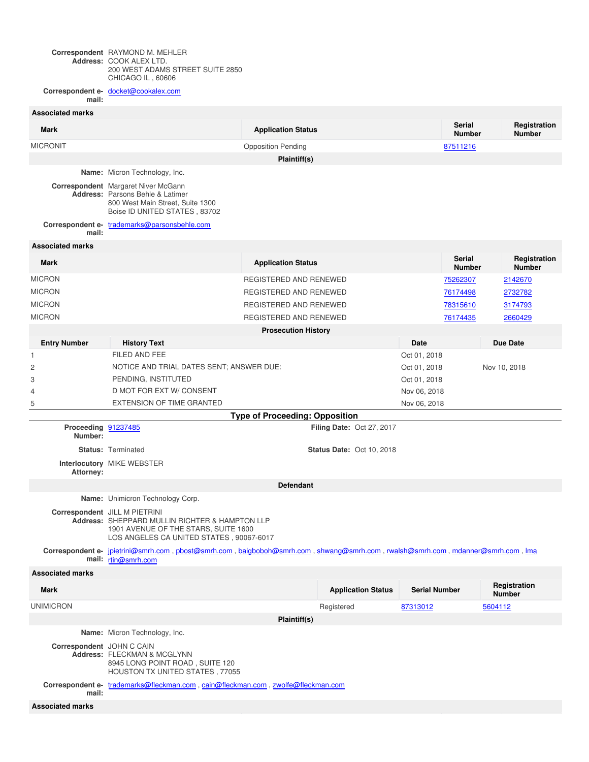**Correspondent Address:** RAYMOND M. MEHLER COOK ALEX LTD. 200 WEST ADAMS STREET SUITE 2850 CHICAGO IL , 60606

**Correspondent email:** docket@cookalex.com

| <b>Associated marks</b>        |                                                                                                                                                                                |                                       |                                  |                      |                                |                               |  |
|--------------------------------|--------------------------------------------------------------------------------------------------------------------------------------------------------------------------------|---------------------------------------|----------------------------------|----------------------|--------------------------------|-------------------------------|--|
| <b>Mark</b>                    |                                                                                                                                                                                | <b>Application Status</b>             |                                  |                      | <b>Serial</b><br><b>Number</b> | Registration<br><b>Number</b> |  |
| <b>MICRONIT</b>                |                                                                                                                                                                                | <b>Opposition Pending</b>             |                                  |                      | 87511216                       |                               |  |
|                                |                                                                                                                                                                                | Plaintiff(s)                          |                                  |                      |                                |                               |  |
|                                | Name: Micron Technology, Inc.                                                                                                                                                  |                                       |                                  |                      |                                |                               |  |
|                                | Correspondent Margaret Niver McGann<br><b>Address:</b> Parsons Behle & Latimer<br>800 West Main Street, Suite 1300<br>Boise ID UNITED STATES, 83702                            |                                       |                                  |                      |                                |                               |  |
| mail:                          | Correspondent e- trademarks@parsonsbehle.com                                                                                                                                   |                                       |                                  |                      |                                |                               |  |
| <b>Associated marks</b>        |                                                                                                                                                                                |                                       |                                  |                      |                                |                               |  |
| <b>Mark</b>                    |                                                                                                                                                                                | <b>Application Status</b>             |                                  |                      | <b>Serial</b><br><b>Number</b> | Registration<br><b>Number</b> |  |
| <b>MICRON</b>                  |                                                                                                                                                                                | REGISTERED AND RENEWED                |                                  |                      | 75262307                       | 2142670                       |  |
| <b>MICRON</b>                  |                                                                                                                                                                                | REGISTERED AND RENEWED                |                                  |                      | 76174498                       | 2732782                       |  |
| <b>MICRON</b>                  |                                                                                                                                                                                | REGISTERED AND RENEWED                |                                  |                      | 78315610                       | 3174793                       |  |
| <b>MICRON</b>                  |                                                                                                                                                                                | REGISTERED AND RENEWED                |                                  |                      | 76174435                       | 2660429                       |  |
|                                |                                                                                                                                                                                | <b>Prosecution History</b>            |                                  |                      |                                |                               |  |
| <b>Entry Number</b>            | <b>History Text</b>                                                                                                                                                            |                                       |                                  | Date                 |                                | <b>Due Date</b>               |  |
| 1                              | FILED AND FEE                                                                                                                                                                  |                                       |                                  | Oct 01, 2018         |                                |                               |  |
| 2                              | NOTICE AND TRIAL DATES SENT; ANSWER DUE:                                                                                                                                       |                                       |                                  | Oct 01, 2018         | Nov 10, 2018                   |                               |  |
| 3                              | PENDING, INSTITUTED                                                                                                                                                            |                                       |                                  |                      | Oct 01, 2018                   |                               |  |
| 4                              | D MOT FOR EXT W/ CONSENT                                                                                                                                                       |                                       |                                  | Nov 06, 2018         |                                |                               |  |
| 5                              | EXTENSION OF TIME GRANTED                                                                                                                                                      |                                       |                                  | Nov 06, 2018         |                                |                               |  |
|                                |                                                                                                                                                                                | <b>Type of Proceeding: Opposition</b> |                                  |                      |                                |                               |  |
| Proceeding 91237485<br>Number: |                                                                                                                                                                                |                                       | Filing Date: Oct 27, 2017        |                      |                                |                               |  |
|                                | <b>Status: Terminated</b>                                                                                                                                                      |                                       | <b>Status Date: Oct 10, 2018</b> |                      |                                |                               |  |
| Attorney:                      | Interlocutory MIKE WEBSTER                                                                                                                                                     |                                       |                                  |                      |                                |                               |  |
|                                |                                                                                                                                                                                | <b>Defendant</b>                      |                                  |                      |                                |                               |  |
|                                | Name: Unimicron Technology Corp.                                                                                                                                               |                                       |                                  |                      |                                |                               |  |
|                                | Correspondent JILL M PIETRINI<br><b>Address: SHEPPARD MULLIN RICHTER &amp; HAMPTON LLP</b><br>1901 AVENUE OF THE STARS, SUITE 1600<br>LOS ANGELES CA UNITED STATES, 90067-6017 |                                       |                                  |                      |                                |                               |  |
|                                | Correspondent e- jpietrini@smrh.com, pbost@smrh.com, baigboboh@smrh.com, shwang@smrh.com, rwalsh@smrh.com, mdanner@smrh.com, lma<br>mail: rtin@smrh.com                        |                                       |                                  |                      |                                |                               |  |
| <b>Associated marks</b>        |                                                                                                                                                                                |                                       |                                  |                      |                                |                               |  |
| Mark                           |                                                                                                                                                                                |                                       | <b>Application Status</b>        | <b>Serial Number</b> |                                | Registration<br>Number        |  |
| <b>UNIMICRON</b>               |                                                                                                                                                                                |                                       | Registered                       | 87313012             |                                | 5604112                       |  |
|                                |                                                                                                                                                                                | Plaintiff(s)                          |                                  |                      |                                |                               |  |
|                                | Name: Micron Technology, Inc.                                                                                                                                                  |                                       |                                  |                      |                                |                               |  |
| Correspondent JOHN C CAIN      | Address: FLECKMAN & MCGLYNN<br>8945 LONG POINT ROAD, SUITE 120<br>HOUSTON TX UNITED STATES, 77055                                                                              |                                       |                                  |                      |                                |                               |  |
| mail:                          | Correspondent e- trademarks@fleckman.com , cain@fleckman.com , zwolfe@fleckman.com                                                                                             |                                       |                                  |                      |                                |                               |  |
| <b>Associated marks</b>        |                                                                                                                                                                                |                                       |                                  |                      |                                |                               |  |
|                                |                                                                                                                                                                                |                                       |                                  |                      |                                |                               |  |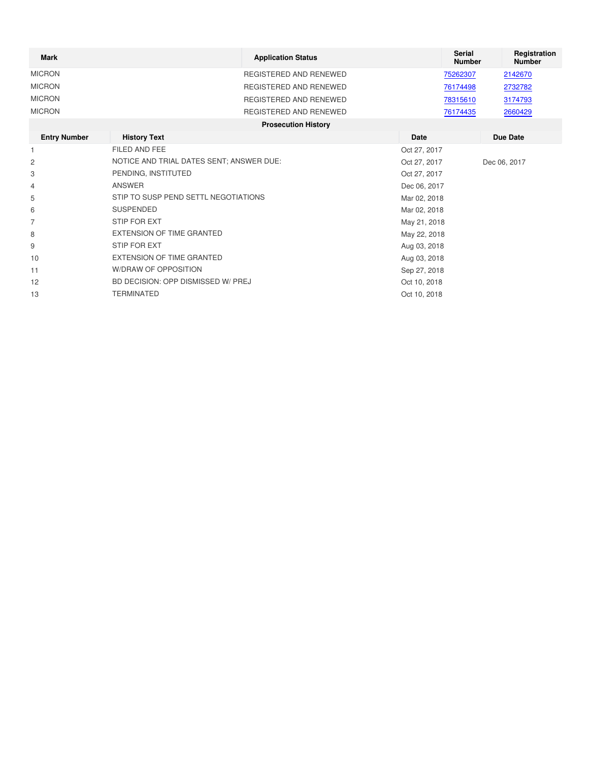| <b>Mark</b>   | <b>Application Status</b>  | <b>Serial</b><br><b>Number</b> | Registration<br><b>Number</b> |
|---------------|----------------------------|--------------------------------|-------------------------------|
| <b>MICRON</b> | REGISTERED AND RENEWED     | 75262307                       | 2142670                       |
| <b>MICRON</b> | REGISTERED AND RENEWED     | 76174498                       | 2732782                       |
| <b>MICRON</b> | REGISTERED AND RENEWED     | 78315610                       | 3174793                       |
| <b>MICRON</b> | REGISTERED AND RENEWED     | 76174435                       | 2660429                       |
|               | <b>Prosecution History</b> |                                |                               |

| <b>Entry Number</b> | <b>History Text</b>                      | Date         | Due Date     |
|---------------------|------------------------------------------|--------------|--------------|
| $\mathbf{1}$        | FILED AND FEE                            | Oct 27, 2017 |              |
| $\overline{c}$      | NOTICE AND TRIAL DATES SENT; ANSWER DUE: | Oct 27, 2017 | Dec 06, 2017 |
| 3                   | PENDING, INSTITUTED                      | Oct 27, 2017 |              |
| 4                   | ANSWER                                   | Dec 06, 2017 |              |
| 5                   | STIP TO SUSP PEND SETTL NEGOTIATIONS     | Mar 02, 2018 |              |
| 6                   | SUSPENDED                                | Mar 02, 2018 |              |
| 7                   | STIP FOR EXT                             | May 21, 2018 |              |
| 8                   | EXTENSION OF TIME GRANTED                | May 22, 2018 |              |
| 9                   | STIP FOR EXT                             | Aug 03, 2018 |              |
| 10                  | EXTENSION OF TIME GRANTED                | Aug 03, 2018 |              |
| 11                  | W/DRAW OF OPPOSITION                     | Sep 27, 2018 |              |
| 12                  | BD DECISION: OPP DISMISSED W/ PREJ       | Oct 10, 2018 |              |
| 13                  | TERMINATED                               | Oct 10, 2018 |              |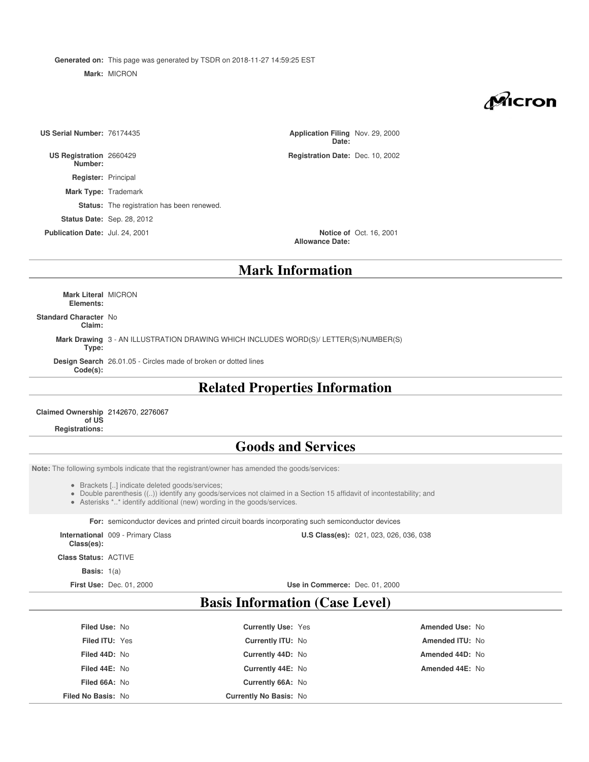**Generated on:** This page was generated by TSDR on 2018-11-27 14:59:25 EST

**Mark:** MICRON

Micron

| US Serial Number: 76174435         |                                                   | Application Filing Nov. 29, 2000<br>Date: |                                |
|------------------------------------|---------------------------------------------------|-------------------------------------------|--------------------------------|
| US Registration 2660429<br>Number: |                                                   | Registration Date: Dec. 10, 2002          |                                |
| <b>Register: Principal</b>         |                                                   |                                           |                                |
| <b>Mark Type: Trademark</b>        |                                                   |                                           |                                |
|                                    | <b>Status:</b> The registration has been renewed. |                                           |                                |
|                                    | <b>Status Date: Sep. 28, 2012</b>                 |                                           |                                |
| Publication Date: Jul. 24, 2001    |                                                   | <b>Allowance Date:</b>                    | <b>Notice of Oct. 16, 2001</b> |
|                                    |                                                   | Mark Information                          |                                |

### **Mark Information**

**Mark Literal** MICRON **Elements:**

**Standard Character** No **Claim:**

> **Mark Drawing** 3 - AN ILLUSTRATION DRAWING WHICH INCLUDES WORD(S)/ LETTER(S)/NUMBER(S) **Type:**

**Design Search** 26.01.05 - Circles made of broken or dotted lines **Code(s):**

# **Related Properties Information**

**Claimed Ownership** 2142670, 2276067 **of US Registrations:**

### **Goods and Services**

**Note:** The following symbols indicate that the registrant/owner has amended the goods/services:

- Brackets [..] indicate deleted goods/services;
- Double parenthesis ((..)) identify any goods/services not claimed in a Section 15 affidavit of incontestability; and
- Asterisks \*..\* identify additional (new) wording in the goods/services.

**For:** semiconductor devices and printed circuit boards incorporating such semiconductor devices

**International** 009 - Primary Class **Class(es):**

**U.S Class(es):** 021, 023, 026, 036, 038

**Class Status:** ACTIVE

**Basis:** 1(a)

**First Use:** Dec. 01, 2000 **Use in Commerce:** Dec. 01, 2000

## **Basis Information (Case Level)**

| Amended Use: No        | <b>Currently Use: Yes</b>     | <b>Filed Use: No</b>  |
|------------------------|-------------------------------|-----------------------|
| <b>Amended ITU: No</b> | <b>Currently ITU: No</b>      | <b>Filed ITU: Yes</b> |
| Amended 44D: No        | Currently 44D: No             | Filed 44D: No         |
| Amended 44E: No        | Currently 44E: No             | Filed 44E: No         |
|                        | Currently 66A: No             | Filed 66A: No         |
|                        | <b>Currently No Basis: No</b> | Filed No Basis: No    |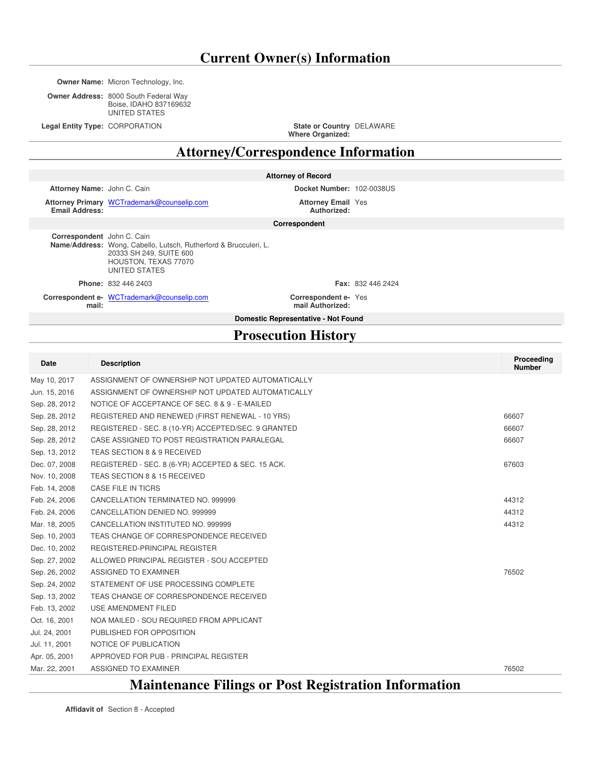**Owner Name:** Micron Technology, Inc.

**Owner Address:** 8000 South Federal Way Boise, IDAHO 837169632 UNITED STATES

**Legal Entity Type: CORPORATION** 

**Where Organized:** State or Country DELAWARE

**Attorney/Correspondence Information**

| <b>Attorney of Record</b> |  |  |
|---------------------------|--|--|
|                           |  |  |

**Attorney Name:** John C. Cain **Docket Number:** 102-0038US

**Attorney Primary** WCTrademark@counselip.com **Attorney Email Email Address:**

**Authorized: Attorney Email Yes** 

**Correspondent**

**Correspondent** John C. Cain **Name/Address:** Wong, Cabello, Lutsch, Rutherford & Brucculeri, L. 20333 SH 249, SUITE 600 HOUSTON, TEXAS 77070 UNITED STATES

Correspondent e- WCTrademark@counselip.com **Correspondent e- Correspondent email:**

**Phone:** 832 446 2403 **Fax:** 832 446 2424

Correspondent e- Yes

**mail Authorized:**

**Domestic Representative - Not Found**

# **Prosecution History**

| <b>Date</b>   | <b>Description</b>                                  | Proceeding<br><b>Number</b> |
|---------------|-----------------------------------------------------|-----------------------------|
| May 10, 2017  | ASSIGNMENT OF OWNERSHIP NOT UPDATED AUTOMATICALLY   |                             |
| Jun. 15, 2016 | ASSIGNMENT OF OWNERSHIP NOT UPDATED AUTOMATICALLY   |                             |
| Sep. 28, 2012 | NOTICE OF ACCEPTANCE OF SEC. 8 & 9 - E-MAILED       |                             |
| Sep. 28, 2012 | REGISTERED AND RENEWED (FIRST RENEWAL - 10 YRS)     | 66607                       |
| Sep. 28, 2012 | REGISTERED - SEC. 8 (10-YR) ACCEPTED/SEC. 9 GRANTED | 66607                       |
| Sep. 28, 2012 | CASE ASSIGNED TO POST REGISTRATION PARALEGAL        | 66607                       |
| Sep. 13, 2012 | TEAS SECTION 8 & 9 RECEIVED                         |                             |
| Dec. 07, 2008 | REGISTERED - SEC. 8 (6-YR) ACCEPTED & SEC. 15 ACK.  | 67603                       |
| Nov. 10, 2008 | TEAS SECTION 8 & 15 RECEIVED                        |                             |
| Feb. 14, 2008 | CASE FILE IN TICRS                                  |                             |
| Feb. 24, 2006 | CANCELLATION TERMINATED NO. 999999                  | 44312                       |
| Feb. 24, 2006 | CANCELLATION DENIED NO. 999999                      | 44312                       |
| Mar. 18, 2005 | CANCELLATION INSTITUTED NO. 999999                  | 44312                       |
| Sep. 10, 2003 | TEAS CHANGE OF CORRESPONDENCE RECEIVED              |                             |
| Dec. 10, 2002 | REGISTERED-PRINCIPAL REGISTER                       |                             |
| Sep. 27, 2002 | ALLOWED PRINCIPAL REGISTER - SOU ACCEPTED           |                             |
| Sep. 26, 2002 | ASSIGNED TO EXAMINER                                | 76502                       |
| Sep. 24, 2002 | STATEMENT OF USE PROCESSING COMPLETE                |                             |
| Sep. 13, 2002 | TEAS CHANGE OF CORRESPONDENCE RECEIVED              |                             |
| Feb. 13, 2002 | USE AMENDMENT FILED                                 |                             |
| Oct. 16, 2001 | NOA MAILED - SOU REQUIRED FROM APPLICANT            |                             |
| Jul. 24, 2001 | PUBLISHED FOR OPPOSITION                            |                             |
| Jul. 11, 2001 | NOTICE OF PUBLICATION                               |                             |
| Apr. 05, 2001 | APPROVED FOR PUB - PRINCIPAL REGISTER               |                             |
| Mar. 22, 2001 | ASSIGNED TO EXAMINER                                | 76502                       |

# **Maintenance Filings or Post Registration Information**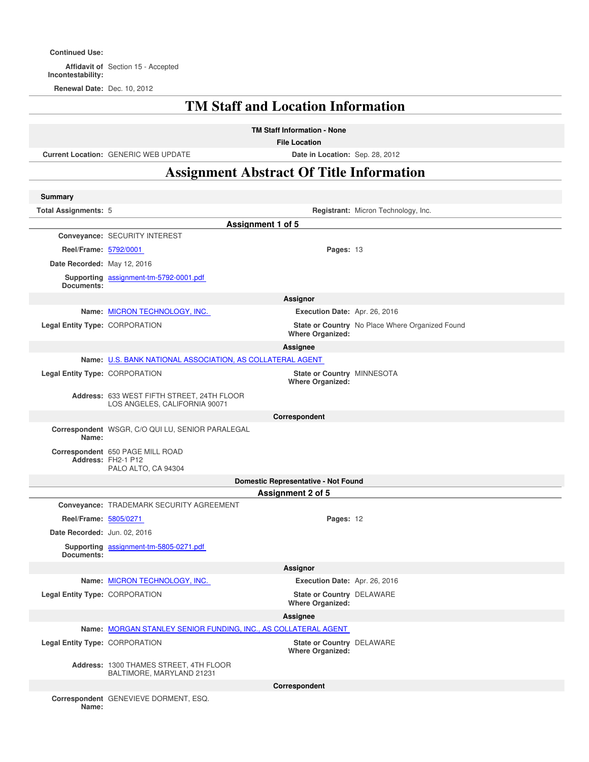#### **Continued Use:**

**Affidavit of** Section 15 - Accepted **Incontestability:**

**Renewal Date:** Dec. 10, 2012

# **TM Staff and Location Information**

**TM Staff Information - None**

**File Location**

**Current Location:** GENERIC WEB UPDATE **Date in Location:** Sep. 28, 2012

# **Assignment Abstract Of Title Information**

| <b>Summary</b>                 |                                                                               |                                                             |                                                 |
|--------------------------------|-------------------------------------------------------------------------------|-------------------------------------------------------------|-------------------------------------------------|
| Total Assignments: 5           |                                                                               |                                                             | Registrant: Micron Technology, Inc.             |
|                                | Assignment 1 of 5                                                             |                                                             |                                                 |
|                                | Conveyance: SECURITY INTEREST                                                 |                                                             |                                                 |
| Reel/Frame: 5792/0001          |                                                                               | Pages: 13                                                   |                                                 |
| Date Recorded: May 12, 2016    |                                                                               |                                                             |                                                 |
| Documents:                     | Supporting assignment-tm-5792-0001.pdf                                        |                                                             |                                                 |
|                                |                                                                               | <b>Assignor</b>                                             |                                                 |
|                                | Name: MICRON TECHNOLOGY, INC.                                                 | Execution Date: Apr. 26, 2016                               |                                                 |
| Legal Entity Type: CORPORATION |                                                                               |                                                             | State or Country No Place Where Organized Found |
|                                |                                                                               | <b>Where Organized:</b>                                     |                                                 |
|                                |                                                                               | Assignee                                                    |                                                 |
|                                | Name: U.S. BANK NATIONAL ASSOCIATION, AS COLLATERAL AGENT                     |                                                             |                                                 |
| Legal Entity Type: CORPORATION |                                                                               | State or Country MINNESOTA<br><b>Where Organized:</b>       |                                                 |
|                                | Address: 633 WEST FIFTH STREET, 24TH FLOOR                                    |                                                             |                                                 |
|                                | LOS ANGELES, CALIFORNIA 90071                                                 |                                                             |                                                 |
|                                |                                                                               | Correspondent                                               |                                                 |
| Name:                          | Correspondent WSGR, C/O QUI LU, SENIOR PARALEGAL                              |                                                             |                                                 |
|                                | Correspondent 650 PAGE MILL ROAD<br>Address: FH2-1 P12<br>PALO ALTO, CA 94304 |                                                             |                                                 |
|                                |                                                                               | Domestic Representative - Not Found                         |                                                 |
|                                |                                                                               | Assignment 2 of 5                                           |                                                 |
|                                | Conveyance: TRADEMARK SECURITY AGREEMENT                                      |                                                             |                                                 |
| Reel/Frame: 5805/0271          |                                                                               | Pages: 12                                                   |                                                 |
| Date Recorded: Jun. 02, 2016   |                                                                               |                                                             |                                                 |
| Documents:                     | Supporting assignment-tm-5805-0271.pdf                                        |                                                             |                                                 |
|                                |                                                                               | Assignor                                                    |                                                 |
|                                | Name: MICRON TECHNOLOGY, INC.                                                 | Execution Date: Apr. 26, 2016                               |                                                 |
| Legal Entity Type: CORPORATION |                                                                               | State or Country DELAWARE<br><b>Where Organized:</b>        |                                                 |
|                                |                                                                               | Assianee                                                    |                                                 |
|                                | Name: MORGAN STANLEY SENIOR FUNDING, INC., AS COLLATERAL AGENT                |                                                             |                                                 |
| Legal Entity Type: CORPORATION |                                                                               | <b>State or Country DELAWARE</b><br><b>Where Organized:</b> |                                                 |
|                                | Address: 1300 THAMES STREET, 4TH FLOOR<br>BALTIMORE, MARYLAND 21231           |                                                             |                                                 |
|                                |                                                                               | Correspondent                                               |                                                 |
| Name:                          | Correspondent GENEVIEVE DORMENT, ESQ.                                         |                                                             |                                                 |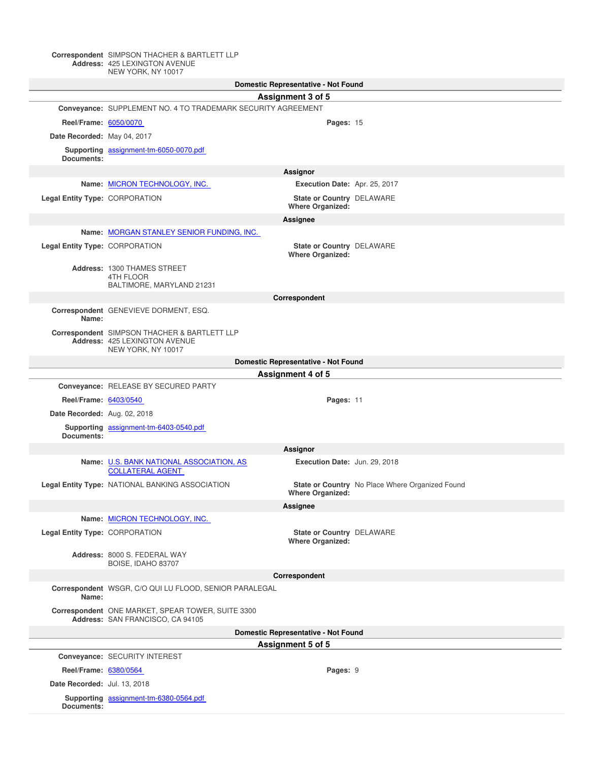#### **Correspondent Address:** SIMPSON THACHER & BARTLETT LLP 425 LEXINGTON AVENUE NEW YORK, NY 10017

|                                |                                                                                                     | Domestic Representative - Not Found                  |                                                 |
|--------------------------------|-----------------------------------------------------------------------------------------------------|------------------------------------------------------|-------------------------------------------------|
|                                |                                                                                                     | Assignment 3 of 5                                    |                                                 |
|                                | Convevance: SUPPLEMENT NO. 4 TO TRADEMARK SECURITY AGREEMENT                                        |                                                      |                                                 |
| Reel/Frame: 6050/0070          |                                                                                                     | Pages: 15                                            |                                                 |
| Date Recorded: May 04, 2017    |                                                                                                     |                                                      |                                                 |
|                                | Supporting assignment-tm-6050-0070.pdf                                                              |                                                      |                                                 |
| Documents:                     |                                                                                                     |                                                      |                                                 |
|                                |                                                                                                     | Assignor                                             |                                                 |
|                                | Name: MICRON TECHNOLOGY, INC.                                                                       | Execution Date: Apr. 25, 2017                        |                                                 |
| Legal Entity Type: CORPORATION |                                                                                                     | State or Country DELAWARE<br><b>Where Organized:</b> |                                                 |
|                                |                                                                                                     | Assignee                                             |                                                 |
|                                | Name: MORGAN STANLEY SENIOR FUNDING, INC.                                                           |                                                      |                                                 |
| Legal Entity Type: CORPORATION |                                                                                                     | State or Country DELAWARE                            |                                                 |
|                                |                                                                                                     | <b>Where Organized:</b>                              |                                                 |
|                                | Address: 1300 THAMES STREET<br>4TH FLOOR                                                            |                                                      |                                                 |
|                                | BALTIMORE, MARYLAND 21231                                                                           |                                                      |                                                 |
|                                |                                                                                                     | Correspondent                                        |                                                 |
| Name:                          | Correspondent GENEVIEVE DORMENT, ESQ.                                                               |                                                      |                                                 |
|                                | Correspondent SIMPSON THACHER & BARTLETT LLP<br>Address: 425 LEXINGTON AVENUE<br>NEW YORK, NY 10017 |                                                      |                                                 |
|                                |                                                                                                     | Domestic Representative - Not Found                  |                                                 |
|                                |                                                                                                     | Assignment 4 of 5                                    |                                                 |
|                                | Conveyance: RELEASE BY SECURED PARTY                                                                |                                                      |                                                 |
| Reel/Frame: 6403/0540          |                                                                                                     | Pages: 11                                            |                                                 |
| Date Recorded: Aug. 02, 2018   |                                                                                                     |                                                      |                                                 |
|                                | Supporting assignment-tm-6403-0540.pdf                                                              |                                                      |                                                 |
| Documents:                     |                                                                                                     |                                                      |                                                 |
|                                |                                                                                                     | Assignor                                             |                                                 |
|                                | Name: U.S. BANK NATIONAL ASSOCIATION, AS<br><b>COLLATERAL AGENT</b>                                 | Execution Date: Jun. 29, 2018                        |                                                 |
|                                | Legal Entity Type: NATIONAL BANKING ASSOCIATION                                                     | <b>Where Organized:</b>                              | State or Country No Place Where Organized Found |
|                                |                                                                                                     | Assignee                                             |                                                 |
|                                | Name: MICRON TECHNOLOGY, INC.                                                                       |                                                      |                                                 |
| Legal Entity Type: CORPORATION |                                                                                                     | State or Country DELAWARE                            |                                                 |
|                                |                                                                                                     | <b>Where Organized:</b>                              |                                                 |
|                                | Address: 8000 S. FEDERAL WAY<br>BOISE, IDAHO 83707                                                  |                                                      |                                                 |
|                                |                                                                                                     | Correspondent                                        |                                                 |
| Name:                          | Correspondent WSGR, C/O QUI LU FLOOD, SENIOR PARALEGAL                                              |                                                      |                                                 |
|                                | Correspondent ONE MARKET, SPEAR TOWER, SUITE 3300<br>Address: SAN FRANCISCO, CA 94105               |                                                      |                                                 |
|                                |                                                                                                     | Domestic Representative - Not Found                  |                                                 |
|                                |                                                                                                     | Assignment 5 of 5                                    |                                                 |
|                                | Conveyance: SECURITY INTEREST                                                                       |                                                      |                                                 |
| Reel/Frame: 6380/0564          |                                                                                                     | Pages: 9                                             |                                                 |
| Date Recorded: Jul. 13, 2018   |                                                                                                     |                                                      |                                                 |
| Documents:                     | Supporting assignment-tm-6380-0564.pdf                                                              |                                                      |                                                 |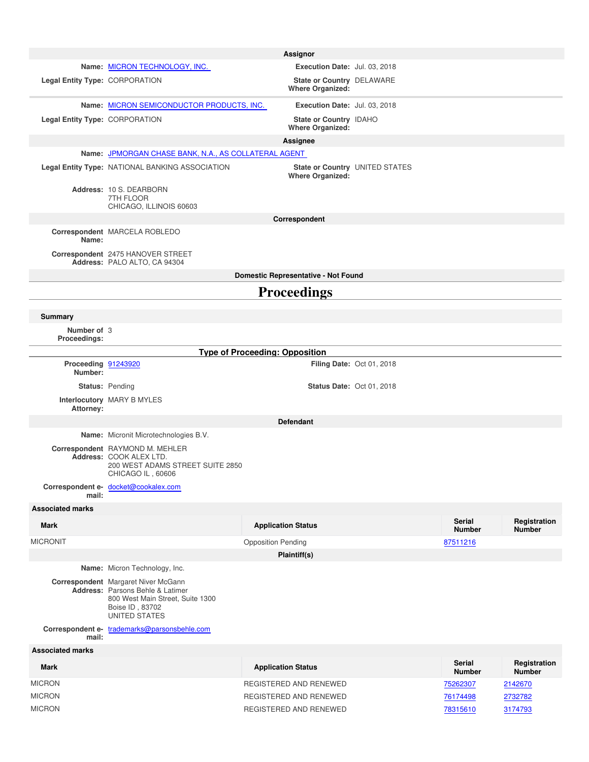|                                |                                                                                                                                                        | Assignor                                             |                                  |                                |                               |
|--------------------------------|--------------------------------------------------------------------------------------------------------------------------------------------------------|------------------------------------------------------|----------------------------------|--------------------------------|-------------------------------|
|                                | Name: MICRON TECHNOLOGY, INC.                                                                                                                          | Execution Date: Jul. 03, 2018                        |                                  |                                |                               |
| Legal Entity Type: CORPORATION |                                                                                                                                                        | State or Country DELAWARE<br><b>Where Organized:</b> |                                  |                                |                               |
|                                | Name: MICRON SEMICONDUCTOR PRODUCTS, INC.                                                                                                              | Execution Date: Jul. 03, 2018                        |                                  |                                |                               |
| Legal Entity Type: CORPORATION |                                                                                                                                                        | State or Country IDAHO<br><b>Where Organized:</b>    |                                  |                                |                               |
|                                |                                                                                                                                                        | Assignee                                             |                                  |                                |                               |
|                                | Name: JPMORGAN CHASE BANK, N.A., AS COLLATERAL AGENT                                                                                                   |                                                      |                                  |                                |                               |
|                                | Legal Entity Type: NATIONAL BANKING ASSOCIATION                                                                                                        | <b>Where Organized:</b>                              | State or Country UNITED STATES   |                                |                               |
|                                | Address: 10 S. DEARBORN<br>7TH FLOOR                                                                                                                   |                                                      |                                  |                                |                               |
|                                | CHICAGO, ILLINOIS 60603                                                                                                                                | Correspondent                                        |                                  |                                |                               |
|                                | Correspondent MARCELA ROBLEDO                                                                                                                          |                                                      |                                  |                                |                               |
| Name:                          | Correspondent 2475 HANOVER STREET                                                                                                                      |                                                      |                                  |                                |                               |
|                                | Address: PALO ALTO, CA 94304                                                                                                                           | Domestic Representative - Not Found                  |                                  |                                |                               |
|                                |                                                                                                                                                        | <b>Proceedings</b>                                   |                                  |                                |                               |
| Summary                        |                                                                                                                                                        |                                                      |                                  |                                |                               |
| Number of 3<br>Proceedings:    |                                                                                                                                                        |                                                      |                                  |                                |                               |
|                                |                                                                                                                                                        | <b>Type of Proceeding: Opposition</b>                |                                  |                                |                               |
| Proceeding 91243920<br>Number: |                                                                                                                                                        |                                                      | Filing Date: Oct 01, 2018        |                                |                               |
|                                | <b>Status: Pending</b>                                                                                                                                 |                                                      | <b>Status Date: Oct 01, 2018</b> |                                |                               |
| Attorney:                      | Interlocutory MARY B MYLES                                                                                                                             |                                                      |                                  |                                |                               |
|                                |                                                                                                                                                        | <b>Defendant</b>                                     |                                  |                                |                               |
|                                | Name: Micronit Microtechnologies B.V.                                                                                                                  |                                                      |                                  |                                |                               |
|                                | Correspondent RAYMOND M. MEHLER<br>Address: COOK ALEX LTD.<br>200 WEST ADAMS STREET SUITE 2850<br>CHICAGO IL, 60606                                    |                                                      |                                  |                                |                               |
| mail:                          | Correspondent e- docket@cookalex.com                                                                                                                   |                                                      |                                  |                                |                               |
| <b>Associated marks</b>        |                                                                                                                                                        |                                                      |                                  |                                |                               |
| <b>Mark</b>                    |                                                                                                                                                        | <b>Application Status</b>                            |                                  | <b>Serial</b><br><b>Number</b> | Registration<br><b>Number</b> |
| <b>MICRONIT</b>                |                                                                                                                                                        | <b>Opposition Pending</b>                            |                                  | 87511216                       |                               |
|                                |                                                                                                                                                        | Plaintiff(s)                                         |                                  |                                |                               |
|                                | Name: Micron Technology, Inc.                                                                                                                          |                                                      |                                  |                                |                               |
|                                | <b>Correspondent</b> Margaret Niver McGann<br>Address: Parsons Behle & Latimer<br>800 West Main Street, Suite 1300<br>Boise ID, 83702<br>UNITED STATES |                                                      |                                  |                                |                               |
| mail:                          | Correspondent e- trademarks@parsonsbehle.com                                                                                                           |                                                      |                                  |                                |                               |
| <b>Associated marks</b>        |                                                                                                                                                        |                                                      |                                  |                                |                               |
| <b>Mark</b>                    |                                                                                                                                                        | <b>Application Status</b>                            |                                  | <b>Serial</b><br><b>Number</b> | Registration<br><b>Number</b> |
| <b>MICRON</b>                  |                                                                                                                                                        | REGISTERED AND RENEWED                               |                                  | 75262307                       | 2142670                       |
| <b>MICRON</b>                  |                                                                                                                                                        | REGISTERED AND RENEWED                               |                                  | 76174498                       | 2732782                       |
| <b>MICRON</b>                  |                                                                                                                                                        | REGISTERED AND RENEWED                               |                                  | 78315610                       | 3174793                       |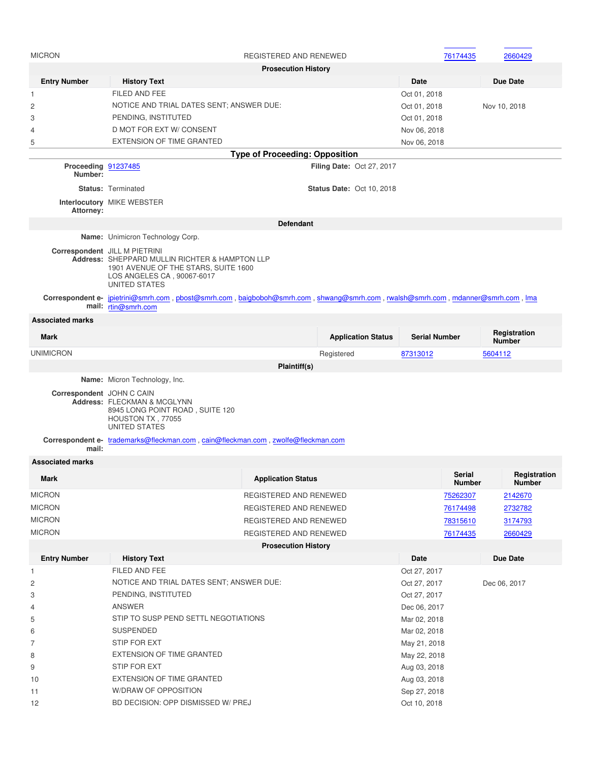| <b>MICRON</b>                  |                                                                                                                                                                               | REGISTERED AND RENEWED                |                                  | 76174435             | 2660429                       |
|--------------------------------|-------------------------------------------------------------------------------------------------------------------------------------------------------------------------------|---------------------------------------|----------------------------------|----------------------|-------------------------------|
|                                |                                                                                                                                                                               | <b>Prosecution History</b>            |                                  |                      |                               |
| <b>Entry Number</b>            | <b>History Text</b>                                                                                                                                                           |                                       |                                  | Date                 | <b>Due Date</b>               |
| $\mathbf{1}$                   | FILED AND FEE                                                                                                                                                                 |                                       |                                  | Oct 01, 2018         |                               |
| 2                              | NOTICE AND TRIAL DATES SENT; ANSWER DUE:                                                                                                                                      |                                       |                                  | Oct 01, 2018         | Nov 10, 2018                  |
| 3                              | PENDING, INSTITUTED                                                                                                                                                           |                                       |                                  | Oct 01, 2018         |                               |
| $\overline{4}$                 | D MOT FOR EXT W/ CONSENT                                                                                                                                                      |                                       |                                  | Nov 06, 2018         |                               |
| 5                              | <b>EXTENSION OF TIME GRANTED</b>                                                                                                                                              |                                       |                                  | Nov 06, 2018         |                               |
|                                |                                                                                                                                                                               | <b>Type of Proceeding: Opposition</b> |                                  |                      |                               |
| Proceeding 91237485<br>Number: |                                                                                                                                                                               |                                       | <b>Filing Date: Oct 27, 2017</b> |                      |                               |
|                                | <b>Status: Terminated</b>                                                                                                                                                     |                                       | <b>Status Date: Oct 10, 2018</b> |                      |                               |
|                                | Interlocutory MIKE WEBSTER                                                                                                                                                    |                                       |                                  |                      |                               |
| Attorney:                      |                                                                                                                                                                               |                                       |                                  |                      |                               |
|                                |                                                                                                                                                                               | <b>Defendant</b>                      |                                  |                      |                               |
|                                | Name: Unimicron Technology Corp.                                                                                                                                              |                                       |                                  |                      |                               |
|                                | Correspondent JILL M PIETRINI<br>Address: SHEPPARD MULLIN RICHTER & HAMPTON LLP<br>1901 AVENUE OF THE STARS, SUITE 1600<br>LOS ANGELES CA, 90067-6017<br><b>UNITED STATES</b> |                                       |                                  |                      |                               |
|                                | Correspondent e- jpietrini@smrh.com, pbost@smrh.com, baigboboh@smrh.com, shwang@smrh.com, rwalsh@smrh.com, mdanner@smrh.com, lma<br>mail: rtin@smrh.com                       |                                       |                                  |                      |                               |
| <b>Associated marks</b>        |                                                                                                                                                                               |                                       |                                  |                      |                               |
| <b>Mark</b>                    |                                                                                                                                                                               |                                       | <b>Application Status</b>        | <b>Serial Number</b> | Registration<br><b>Number</b> |
| <b>UNIMICRON</b>               |                                                                                                                                                                               |                                       | Registered                       | 87313012             | 5604112                       |
|                                |                                                                                                                                                                               | Plaintiff(s)                          |                                  |                      |                               |
|                                | Name: Micron Technology, Inc.                                                                                                                                                 |                                       |                                  |                      |                               |
| Correspondent JOHN C CAIN      | Address: FLECKMAN & MCGLYNN<br>8945 LONG POINT ROAD, SUITE 120<br>HOUSTON TX, 77055<br><b>UNITED STATES</b>                                                                   |                                       |                                  |                      |                               |
|                                | Correspondent e- trademarks@fleckman.com, cain@fleckman.com, zwolfe@fleckman.com                                                                                              |                                       |                                  |                      |                               |
| mail:                          |                                                                                                                                                                               |                                       |                                  |                      |                               |
| <b>Associated marks</b>        |                                                                                                                                                                               |                                       |                                  |                      |                               |
| <b>Mark</b>                    |                                                                                                                                                                               | <b>Application Status</b>             |                                  | Serial<br>Number     | Registration<br><b>Number</b> |
| <b>MICRON</b>                  |                                                                                                                                                                               | REGISTERED AND RENEWED                |                                  | 75262307             | 2142670                       |
| <b>MICRON</b>                  |                                                                                                                                                                               | REGISTERED AND RENEWED                |                                  | 76174498             | 2732782                       |
| <b>MICRON</b>                  |                                                                                                                                                                               | REGISTERED AND RENEWED                |                                  | 78315610             | 3174793                       |
| <b>MICRON</b>                  |                                                                                                                                                                               | REGISTERED AND RENEWED                |                                  | 76174435             | 2660429                       |
|                                |                                                                                                                                                                               | <b>Prosecution History</b>            |                                  |                      |                               |
| <b>Entry Number</b>            | <b>History Text</b>                                                                                                                                                           |                                       |                                  | Date                 | Due Date                      |
|                                | FILED AND FEE                                                                                                                                                                 |                                       |                                  |                      |                               |
| $\overline{1}$                 |                                                                                                                                                                               |                                       |                                  | Oct 27, 2017         |                               |
| 2                              | NOTICE AND TRIAL DATES SENT; ANSWER DUE:                                                                                                                                      |                                       |                                  | Oct 27, 2017         | Dec 06, 2017                  |
| 3                              | PENDING, INSTITUTED                                                                                                                                                           |                                       |                                  | Oct 27, 2017         |                               |
| 4                              | <b>ANSWER</b>                                                                                                                                                                 |                                       |                                  | Dec 06, 2017         |                               |
| 5                              | STIP TO SUSP PEND SETTL NEGOTIATIONS                                                                                                                                          |                                       |                                  | Mar 02, 2018         |                               |
| 6                              | <b>SUSPENDED</b>                                                                                                                                                              |                                       |                                  | Mar 02, 2018         |                               |
| 7                              | STIP FOR EXT                                                                                                                                                                  |                                       |                                  | May 21, 2018         |                               |
| 8                              | EXTENSION OF TIME GRANTED                                                                                                                                                     |                                       |                                  | May 22, 2018         |                               |
| 9                              | STIP FOR EXT                                                                                                                                                                  |                                       |                                  | Aug 03, 2018         |                               |
| 10                             | EXTENSION OF TIME GRANTED                                                                                                                                                     |                                       |                                  | Aug 03, 2018         |                               |
| 11                             | W/DRAW OF OPPOSITION                                                                                                                                                          |                                       |                                  | Sep 27, 2018         |                               |
| 12                             | BD DECISION: OPP DISMISSED W/ PREJ                                                                                                                                            |                                       |                                  | Oct 10, 2018         |                               |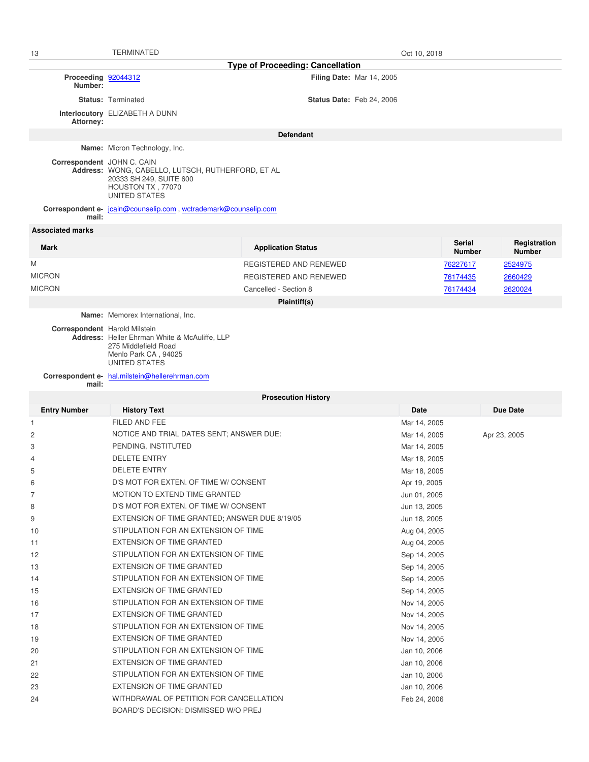| 13                                      | <b>TERMINATED</b>                                                                                                  |                                  | Oct 10, 2018 |                                |                               |
|-----------------------------------------|--------------------------------------------------------------------------------------------------------------------|----------------------------------|--------------|--------------------------------|-------------------------------|
| <b>Type of Proceeding: Cancellation</b> |                                                                                                                    |                                  |              |                                |                               |
| Proceeding 92044312<br>Number:          |                                                                                                                    | <b>Filing Date: Mar 14, 2005</b> |              |                                |                               |
|                                         | <b>Status: Terminated</b>                                                                                          | <b>Status Date: Feb 24, 2006</b> |              |                                |                               |
| Attorney:                               | Interlocutory ELIZABETH A DUNN                                                                                     |                                  |              |                                |                               |
| <b>Defendant</b>                        |                                                                                                                    |                                  |              |                                |                               |
|                                         | Name: Micron Technology, Inc.                                                                                      |                                  |              |                                |                               |
| Correspondent JOHN C. CAIN              | Address: WONG, CABELLO, LUTSCH, RUTHERFORD, ET AL<br>20333 SH 249, SUITE 600<br>HOUSTON TX, 77070<br>UNITED STATES |                                  |              |                                |                               |
| mail:                                   | Correspondent e- jcain@counselip.com, wctrademark@counselip.com                                                    |                                  |              |                                |                               |
| <b>Associated marks</b>                 |                                                                                                                    |                                  |              |                                |                               |
| <b>Mark</b>                             |                                                                                                                    | <b>Application Status</b>        |              | <b>Serial</b><br><b>Number</b> | Registration<br><b>Number</b> |
| Μ                                       |                                                                                                                    | REGISTERED AND RENEWED           |              | 76227617                       | 2524975                       |
| <b>MICRON</b>                           |                                                                                                                    | REGISTERED AND RENEWED           |              | 76174435                       | 2660429                       |
| <b>MICRON</b>                           |                                                                                                                    | Cancelled - Section 8            |              | 76174434                       | 2620024                       |
| Plaintiff(s)                            |                                                                                                                    |                                  |              |                                |                               |
|                                         | Name: Memorex International, Inc.                                                                                  |                                  |              |                                |                               |
| Correspondent Harold Milstein           | Address: Heller Ehrman White & McAuliffe, LLP<br>275 Middlefield Road<br>Menlo Park CA, 94025<br>UNITED STATES     |                                  |              |                                |                               |
|                                         | Correspondent e- hal.milstein@hellerehrman.com                                                                     |                                  |              |                                |                               |
| mail:<br><b>Prosecution History</b>     |                                                                                                                    |                                  |              |                                |                               |
| <b>Entry Number</b>                     | <b>History Text</b>                                                                                                |                                  | <b>Date</b>  |                                | Due Date                      |
| 1                                       | FILED AND FEE                                                                                                      |                                  | Mar 14, 2005 |                                |                               |
| $\overline{c}$                          | NOTICE AND TRIAL DATES SENT; ANSWER DUE:                                                                           |                                  | Mar 14, 2005 |                                | Apr 23, 2005                  |
| 3                                       | PENDING, INSTITUTED                                                                                                |                                  | Mar 14, 2005 |                                |                               |
| 4                                       | <b>DELETE ENTRY</b>                                                                                                |                                  | Mar 18, 2005 |                                |                               |
| 5                                       | <b>DELETE ENTRY</b>                                                                                                |                                  | Mar 18, 2005 |                                |                               |
| 6                                       | D'S MOT FOR EXTEN. OF TIME W/ CONSENT                                                                              |                                  | Apr 19, 2005 |                                |                               |
| 7                                       | MOTION TO EXTEND TIME GRANTED                                                                                      |                                  | Jun 01, 2005 |                                |                               |
| 8                                       | D'S MOT FOR EXTEN. OF TIME W/ CONSENT                                                                              |                                  | Jun 13, 2005 |                                |                               |
| 9                                       | EXTENSION OF TIME GRANTED; ANSWER DUE 8/19/05                                                                      |                                  | Jun 18, 2005 |                                |                               |
| 10                                      | STIPULATION FOR AN EXTENSION OF TIME                                                                               |                                  | Aug 04, 2005 |                                |                               |
| 11                                      | EXTENSION OF TIME GRANTED                                                                                          |                                  | Aug 04, 2005 |                                |                               |
| 12                                      | STIPULATION FOR AN EXTENSION OF TIME                                                                               |                                  | Sep 14, 2005 |                                |                               |
| 13                                      | EXTENSION OF TIME GRANTED                                                                                          |                                  | Sep 14, 2005 |                                |                               |
| 14                                      | STIPULATION FOR AN EXTENSION OF TIME                                                                               |                                  | Sep 14, 2005 |                                |                               |
| 15                                      | EXTENSION OF TIME GRANTED                                                                                          |                                  | Sep 14, 2005 |                                |                               |
| 16                                      | STIPULATION FOR AN EXTENSION OF TIME                                                                               |                                  | Nov 14, 2005 |                                |                               |
| 17                                      | EXTENSION OF TIME GRANTED                                                                                          |                                  | Nov 14, 2005 |                                |                               |
| 18                                      | STIPULATION FOR AN EXTENSION OF TIME                                                                               |                                  | Nov 14, 2005 |                                |                               |
| 19                                      | EXTENSION OF TIME GRANTED                                                                                          |                                  | Nov 14, 2005 |                                |                               |
| 20                                      | STIPULATION FOR AN EXTENSION OF TIME                                                                               |                                  | Jan 10, 2006 |                                |                               |
| 21                                      | EXTENSION OF TIME GRANTED                                                                                          |                                  | Jan 10, 2006 |                                |                               |
| 22                                      | STIPULATION FOR AN EXTENSION OF TIME                                                                               |                                  | Jan 10, 2006 |                                |                               |
| 23                                      | EXTENSION OF TIME GRANTED                                                                                          |                                  | Jan 10, 2006 |                                |                               |
| 24                                      | WITHDRAWAL OF PETITION FOR CANCELLATION<br>BOARD'S DECISION: DISMISSED W/O PREJ                                    |                                  | Feb 24, 2006 |                                |                               |